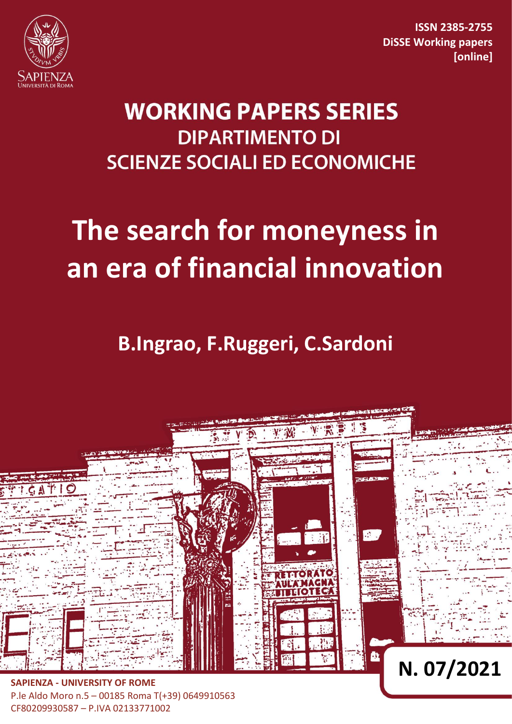

**ISSN 2385-2755 DiSSE Working papers [online]**

# **WORKING PAPERS SERIES DIPARTIMENTO DI SCIENZE SOCIALI ED ECONOMICHE**

# **The search for moneyness in an era of financial innovation**

**B.Ingrao, F.Ruggeri, C.Sardoni**



P.le Aldo Moro n.5 – 00185 Roma T(+39) 0649910563 CF80209930587 – P.IVA 02133771002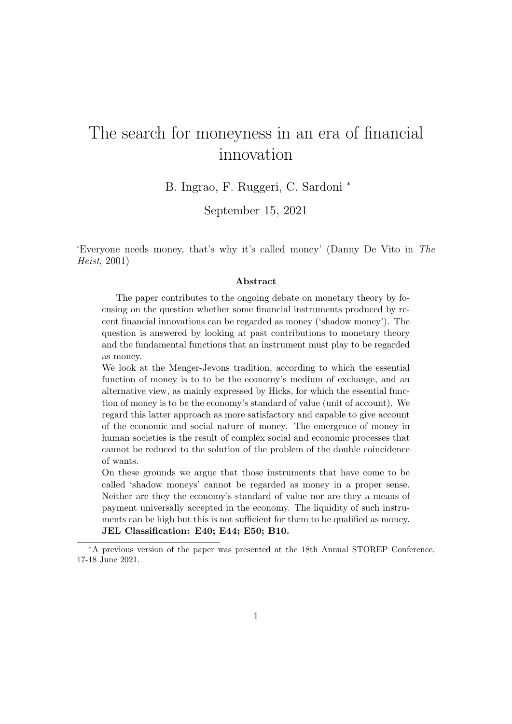# The search for moneyness in an era of financial innovation

B. Ingrao, F. Ruggeri, C. Sardoni <sup>∗</sup>

September 15, 2021

'Everyone needs money, that's why it's called money' (Danny De Vito in The Heist, 2001)

#### Abstract

The paper contributes to the ongoing debate on monetary theory by focusing on the question whether some financial instruments produced by recent financial innovations can be regarded as money ('shadow money'). The question is answered by looking at past contributions to monetary theory and the fundamental functions that an instrument must play to be regarded as money.

We look at the Menger-Jevons tradition, according to which the essential function of money is to to be the economy's medium of exchange, and an alternative view, as mainly expressed by Hicks, for which the essential function of money is to be the economy's standard of value (unit of account). We regard this latter approach as more satisfactory and capable to give account of the economic and social nature of money. The emergence of money in human societies is the result of complex social and economic processes that cannot be reduced to the solution of the problem of the double coincidence of wants.

On these grounds we argue that those instruments that have come to be called 'shadow moneys' cannot be regarded as money in a proper sense. Neither are they the economy's standard of value nor are they a means of payment universally accepted in the economy. The liquidity of such instruments can be high but this is not sufficient for them to be qualified as money. JEL Classification: E40; E44; E50; B10.

<sup>∗</sup>A previous version of the paper was presented at the 18th Annual STOREP Conference, 17-18 June 2021.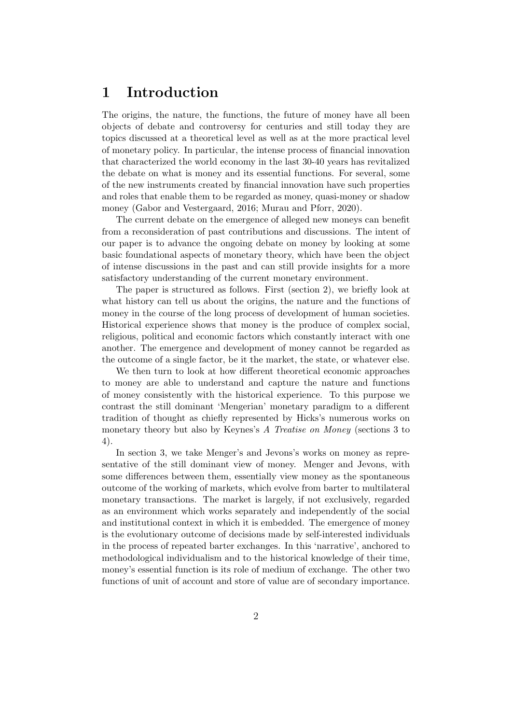#### 1 Introduction

The origins, the nature, the functions, the future of money have all been objects of debate and controversy for centuries and still today they are topics discussed at a theoretical level as well as at the more practical level of monetary policy. In particular, the intense process of financial innovation that characterized the world economy in the last 30-40 years has revitalized the debate on what is money and its essential functions. For several, some of the new instruments created by financial innovation have such properties and roles that enable them to be regarded as money, quasi-money or shadow money (Gabor and Vestergaard, 2016; Murau and Pforr, 2020).

The current debate on the emergence of alleged new moneys can benefit from a reconsideration of past contributions and discussions. The intent of our paper is to advance the ongoing debate on money by looking at some basic foundational aspects of monetary theory, which have been the object of intense discussions in the past and can still provide insights for a more satisfactory understanding of the current monetary environment.

The paper is structured as follows. First (section 2), we briefly look at what history can tell us about the origins, the nature and the functions of money in the course of the long process of development of human societies. Historical experience shows that money is the produce of complex social, religious, political and economic factors which constantly interact with one another. The emergence and development of money cannot be regarded as the outcome of a single factor, be it the market, the state, or whatever else.

We then turn to look at how different theoretical economic approaches to money are able to understand and capture the nature and functions of money consistently with the historical experience. To this purpose we contrast the still dominant 'Mengerian' monetary paradigm to a different tradition of thought as chiefly represented by Hicks's numerous works on monetary theory but also by Keynes's A Treatise on Money (sections 3 to 4).

In section 3, we take Menger's and Jevons's works on money as representative of the still dominant view of money. Menger and Jevons, with some differences between them, essentially view money as the spontaneous outcome of the working of markets, which evolve from barter to multilateral monetary transactions. The market is largely, if not exclusively, regarded as an environment which works separately and independently of the social and institutional context in which it is embedded. The emergence of money is the evolutionary outcome of decisions made by self-interested individuals in the process of repeated barter exchanges. In this 'narrative', anchored to methodological individualism and to the historical knowledge of their time, money's essential function is its role of medium of exchange. The other two functions of unit of account and store of value are of secondary importance.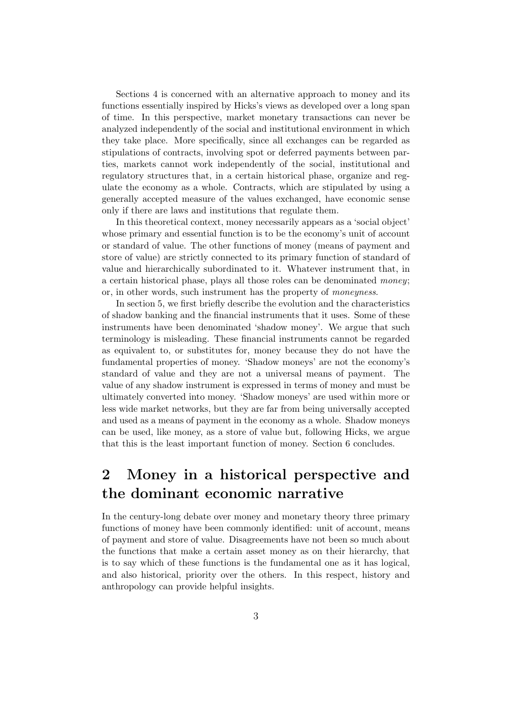Sections 4 is concerned with an alternative approach to money and its functions essentially inspired by Hicks's views as developed over a long span of time. In this perspective, market monetary transactions can never be analyzed independently of the social and institutional environment in which they take place. More specifically, since all exchanges can be regarded as stipulations of contracts, involving spot or deferred payments between parties, markets cannot work independently of the social, institutional and regulatory structures that, in a certain historical phase, organize and regulate the economy as a whole. Contracts, which are stipulated by using a generally accepted measure of the values exchanged, have economic sense only if there are laws and institutions that regulate them.

In this theoretical context, money necessarily appears as a 'social object' whose primary and essential function is to be the economy's unit of account or standard of value. The other functions of money (means of payment and store of value) are strictly connected to its primary function of standard of value and hierarchically subordinated to it. Whatever instrument that, in a certain historical phase, plays all those roles can be denominated money; or, in other words, such instrument has the property of moneyness.

In section 5, we first briefly describe the evolution and the characteristics of shadow banking and the financial instruments that it uses. Some of these instruments have been denominated 'shadow money'. We argue that such terminology is misleading. These financial instruments cannot be regarded as equivalent to, or substitutes for, money because they do not have the fundamental properties of money. 'Shadow moneys' are not the economy's standard of value and they are not a universal means of payment. The value of any shadow instrument is expressed in terms of money and must be ultimately converted into money. 'Shadow moneys' are used within more or less wide market networks, but they are far from being universally accepted and used as a means of payment in the economy as a whole. Shadow moneys can be used, like money, as a store of value but, following Hicks, we argue that this is the least important function of money. Section 6 concludes.

## 2 Money in a historical perspective and the dominant economic narrative

In the century-long debate over money and monetary theory three primary functions of money have been commonly identified: unit of account, means of payment and store of value. Disagreements have not been so much about the functions that make a certain asset money as on their hierarchy, that is to say which of these functions is the fundamental one as it has logical, and also historical, priority over the others. In this respect, history and anthropology can provide helpful insights.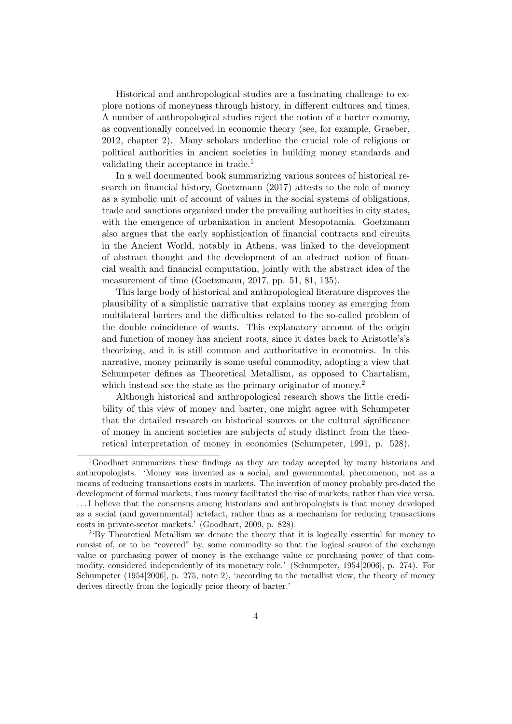Historical and anthropological studies are a fascinating challenge to explore notions of moneyness through history, in different cultures and times. A number of anthropological studies reject the notion of a barter economy, as conventionally conceived in economic theory (see, for example, Graeber, 2012, chapter 2). Many scholars underline the crucial role of religious or political authorities in ancient societies in building money standards and validating their acceptance in trade.<sup>1</sup>

In a well documented book summarizing various sources of historical research on financial history, Goetzmann (2017) attests to the role of money as a symbolic unit of account of values in the social systems of obligations, trade and sanctions organized under the prevailing authorities in city states, with the emergence of urbanization in ancient Mesopotamia. Goetzmann also argues that the early sophistication of financial contracts and circuits in the Ancient World, notably in Athens, was linked to the development of abstract thought and the development of an abstract notion of financial wealth and financial computation, jointly with the abstract idea of the measurement of time (Goetzmann, 2017, pp. 51, 81, 135).

This large body of historical and anthropological literature disproves the plausibility of a simplistic narrative that explains money as emerging from multilateral barters and the difficulties related to the so-called problem of the double coincidence of wants. This explanatory account of the origin and function of money has ancient roots, since it dates back to Aristotle's's theorizing, and it is still common and authoritative in economics. In this narrative, money primarily is some useful commodity, adopting a view that Schumpeter defines as Theoretical Metallism, as opposed to Chartalism, which instead see the state as the primary originator of money.<sup>2</sup>

Although historical and anthropological research shows the little credibility of this view of money and barter, one might agree with Schumpeter that the detailed research on historical sources or the cultural significance of money in ancient societies are subjects of study distinct from the theoretical interpretation of money in economics (Schumpeter, 1991, p. 528).

<sup>1</sup>Goodhart summarizes these findings as they are today accepted by many historians and anthropologists. 'Money was invented as a social, and governmental, phenomenon, not as a means of reducing transactions costs in markets. The invention of money probably pre-dated the development of formal markets; thus money facilitated the rise of markets, rather than vice versa. . . . I believe that the consensus among historians and anthropologists is that money developed as a social (and governmental) artefact, rather than as a mechanism for reducing transactions costs in private-sector markets.' (Goodhart, 2009, p. 828).

<sup>&</sup>lt;sup>2</sup>'By Theoretical Metallism we denote the theory that it is logically essential for money to consist of, or to be "covered" by, some commodity so that the logical source of the exchange value or purchasing power of money is the exchange value or purchasing power of that commodity, considered independently of its monetary role.' (Schumpeter, 1954[2006], p. 274). For Schumpeter (1954[2006], p. 275, note 2), 'according to the metallist view, the theory of money derives directly from the logically prior theory of barter.'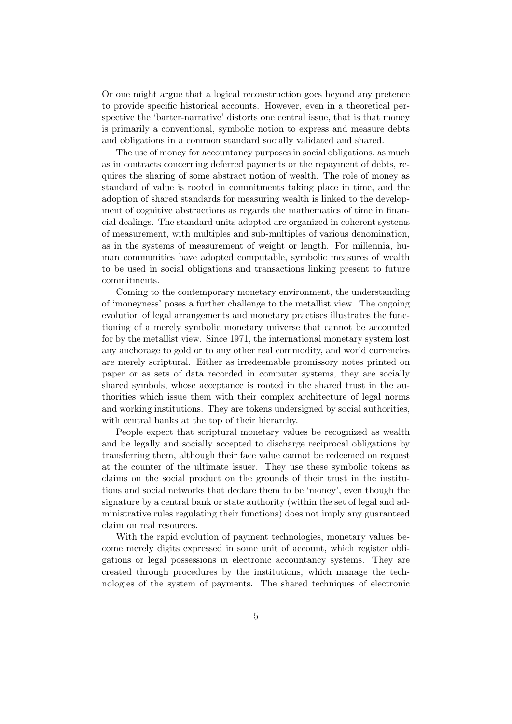Or one might argue that a logical reconstruction goes beyond any pretence to provide specific historical accounts. However, even in a theoretical perspective the 'barter-narrative' distorts one central issue, that is that money is primarily a conventional, symbolic notion to express and measure debts and obligations in a common standard socially validated and shared.

The use of money for accountancy purposes in social obligations, as much as in contracts concerning deferred payments or the repayment of debts, requires the sharing of some abstract notion of wealth. The role of money as standard of value is rooted in commitments taking place in time, and the adoption of shared standards for measuring wealth is linked to the development of cognitive abstractions as regards the mathematics of time in financial dealings. The standard units adopted are organized in coherent systems of measurement, with multiples and sub-multiples of various denomination, as in the systems of measurement of weight or length. For millennia, human communities have adopted computable, symbolic measures of wealth to be used in social obligations and transactions linking present to future commitments.

Coming to the contemporary monetary environment, the understanding of 'moneyness' poses a further challenge to the metallist view. The ongoing evolution of legal arrangements and monetary practises illustrates the functioning of a merely symbolic monetary universe that cannot be accounted for by the metallist view. Since 1971, the international monetary system lost any anchorage to gold or to any other real commodity, and world currencies are merely scriptural. Either as irredeemable promissory notes printed on paper or as sets of data recorded in computer systems, they are socially shared symbols, whose acceptance is rooted in the shared trust in the authorities which issue them with their complex architecture of legal norms and working institutions. They are tokens undersigned by social authorities, with central banks at the top of their hierarchy.

People expect that scriptural monetary values be recognized as wealth and be legally and socially accepted to discharge reciprocal obligations by transferring them, although their face value cannot be redeemed on request at the counter of the ultimate issuer. They use these symbolic tokens as claims on the social product on the grounds of their trust in the institutions and social networks that declare them to be 'money', even though the signature by a central bank or state authority (within the set of legal and administrative rules regulating their functions) does not imply any guaranteed claim on real resources.

With the rapid evolution of payment technologies, monetary values become merely digits expressed in some unit of account, which register obligations or legal possessions in electronic accountancy systems. They are created through procedures by the institutions, which manage the technologies of the system of payments. The shared techniques of electronic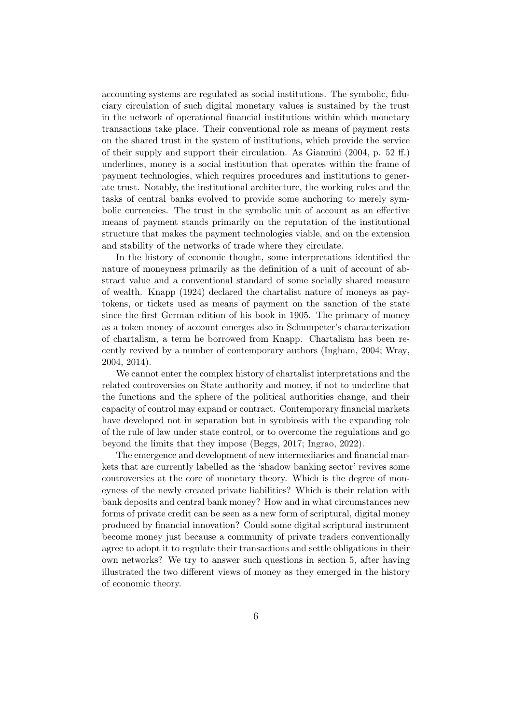accounting systems are regulated as social institutions. The symbolic, fiduciary circulation of such digital monetary values is sustained by the trust in the network of operational financial institutions within which monetary transactions take place. Their conventional role as means of payment rests on the shared trust in the system of institutions, which provide the service of their supply and support their circulation. As Giannini (2004, p. 52 ff.) underlines, money is a social institution that operates within the frame of payment technologies, which requires procedures and institutions to generate trust. Notably, the institutional architecture, the working rules and the tasks of central banks evolved to provide some anchoring to merely symbolic currencies. The trust in the symbolic unit of account as an effective means of payment stands primarily on the reputation of the institutional structure that makes the payment technologies viable, and on the extension and stability of the networks of trade where they circulate.

In the history of economic thought, some interpretations identified the nature of moneyness primarily as the definition of a unit of account of abstract value and a conventional standard of some socially shared measure of wealth. Knapp (1924) declared the chartalist nature of moneys as paytokens, or tickets used as means of payment on the sanction of the state since the first German edition of his book in 1905. The primacy of money as a token money of account emerges also in Schumpeter's characterization of chartalism, a term he borrowed from Knapp. Chartalism has been recently revived by a number of contemporary authors (Ingham, 2004; Wray, 2004, 2014).

We cannot enter the complex history of chartalist interpretations and the related controversies on State authority and money, if not to underline that the functions and the sphere of the political authorities change, and their capacity of control may expand or contract. Contemporary financial markets have developed not in separation but in symbiosis with the expanding role of the rule of law under state control, or to overcome the regulations and go beyond the limits that they impose (Beggs, 2017; Ingrao, 2022).

The emergence and development of new intermediaries and financial markets that are currently labelled as the 'shadow banking sector' revives some controversies at the core of monetary theory. Which is the degree of moneyness of the newly created private liabilities? Which is their relation with bank deposits and central bank money? How and in what circumstances new forms of private credit can be seen as a new form of scriptural, digital money produced by financial innovation? Could some digital scriptural instrument become money just because a community of private traders conventionally agree to adopt it to regulate their transactions and settle obligations in their own networks? We try to answer such questions in section 5, after having illustrated the two different views of money as they emerged in the history of economic theory.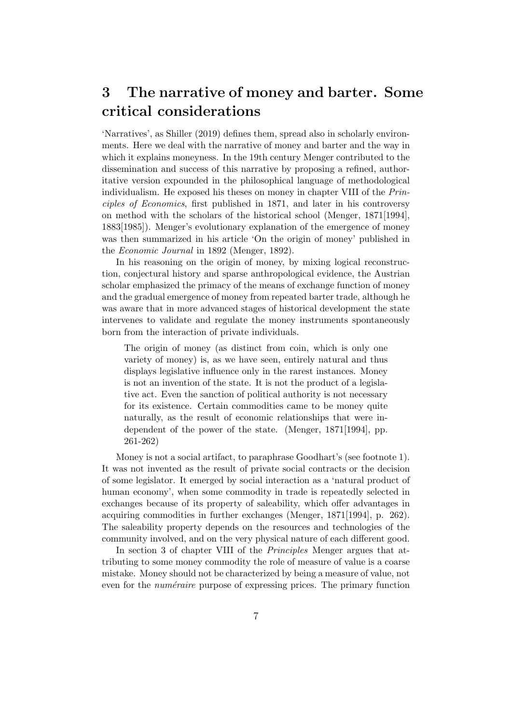## 3 The narrative of money and barter. Some critical considerations

'Narratives', as Shiller (2019) defines them, spread also in scholarly environments. Here we deal with the narrative of money and barter and the way in which it explains moneyness. In the 19th century Menger contributed to the dissemination and success of this narrative by proposing a refined, authoritative version expounded in the philosophical language of methodological individualism. He exposed his theses on money in chapter VIII of the *Prin*ciples of Economics, first published in 1871, and later in his controversy on method with the scholars of the historical school (Menger, 1871[1994], 1883[1985]). Menger's evolutionary explanation of the emergence of money was then summarized in his article 'On the origin of money' published in the Economic Journal in 1892 (Menger, 1892).

In his reasoning on the origin of money, by mixing logical reconstruction, conjectural history and sparse anthropological evidence, the Austrian scholar emphasized the primacy of the means of exchange function of money and the gradual emergence of money from repeated barter trade, although he was aware that in more advanced stages of historical development the state intervenes to validate and regulate the money instruments spontaneously born from the interaction of private individuals.

The origin of money (as distinct from coin, which is only one variety of money) is, as we have seen, entirely natural and thus displays legislative influence only in the rarest instances. Money is not an invention of the state. It is not the product of a legislative act. Even the sanction of political authority is not necessary for its existence. Certain commodities came to be money quite naturally, as the result of economic relationships that were independent of the power of the state. (Menger, 1871[1994], pp. 261-262)

Money is not a social artifact, to paraphrase Goodhart's (see footnote 1). It was not invented as the result of private social contracts or the decision of some legislator. It emerged by social interaction as a 'natural product of human economy', when some commodity in trade is repeatedly selected in exchanges because of its property of saleability, which offer advantages in acquiring commodities in further exchanges (Menger, 1871[1994], p. 262). The saleability property depends on the resources and technologies of the community involved, and on the very physical nature of each different good.

In section 3 of chapter VIII of the *Principles* Menger argues that attributing to some money commodity the role of measure of value is a coarse mistake. Money should not be characterized by being a measure of value, not even for the *numéraire* purpose of expressing prices. The primary function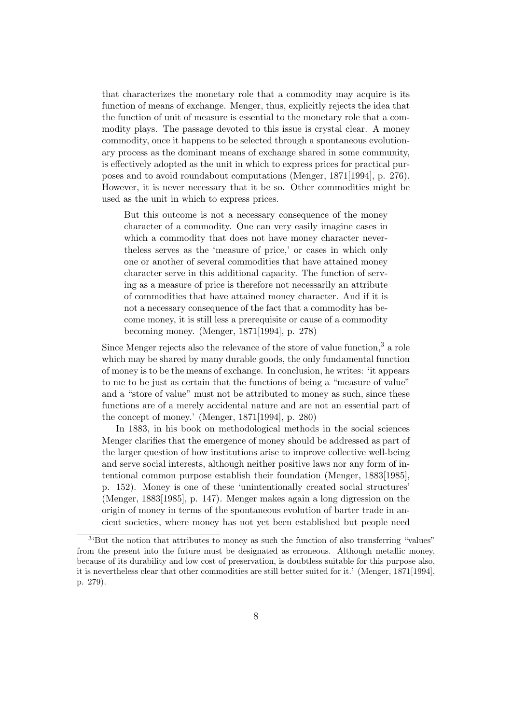that characterizes the monetary role that a commodity may acquire is its function of means of exchange. Menger, thus, explicitly rejects the idea that the function of unit of measure is essential to the monetary role that a commodity plays. The passage devoted to this issue is crystal clear. A money commodity, once it happens to be selected through a spontaneous evolutionary process as the dominant means of exchange shared in some community, is effectively adopted as the unit in which to express prices for practical purposes and to avoid roundabout computations (Menger, 1871[1994], p. 276). However, it is never necessary that it be so. Other commodities might be used as the unit in which to express prices.

But this outcome is not a necessary consequence of the money character of a commodity. One can very easily imagine cases in which a commodity that does not have money character nevertheless serves as the 'measure of price,' or cases in which only one or another of several commodities that have attained money character serve in this additional capacity. The function of serving as a measure of price is therefore not necessarily an attribute of commodities that have attained money character. And if it is not a necessary consequence of the fact that a commodity has become money, it is still less a prerequisite or cause of a commodity becoming money. (Menger, 1871[1994], p. 278)

Since Menger rejects also the relevance of the store of value function,  $3$  a role which may be shared by many durable goods, the only fundamental function of money is to be the means of exchange. In conclusion, he writes: 'it appears to me to be just as certain that the functions of being a "measure of value" and a "store of value" must not be attributed to money as such, since these functions are of a merely accidental nature and are not an essential part of the concept of money.' (Menger, 1871[1994], p. 280)

In 1883, in his book on methodological methods in the social sciences Menger clarifies that the emergence of money should be addressed as part of the larger question of how institutions arise to improve collective well-being and serve social interests, although neither positive laws nor any form of intentional common purpose establish their foundation (Menger, 1883[1985], p. 152). Money is one of these 'unintentionally created social structures' (Menger, 1883[1985], p. 147). Menger makes again a long digression on the origin of money in terms of the spontaneous evolution of barter trade in ancient societies, where money has not yet been established but people need

<sup>&</sup>lt;sup>3</sup>'But the notion that attributes to money as such the function of also transferring "values" from the present into the future must be designated as erroneous. Although metallic money, because of its durability and low cost of preservation, is doubtless suitable for this purpose also, it is nevertheless clear that other commodities are still better suited for it.' (Menger, 1871[1994], p. 279).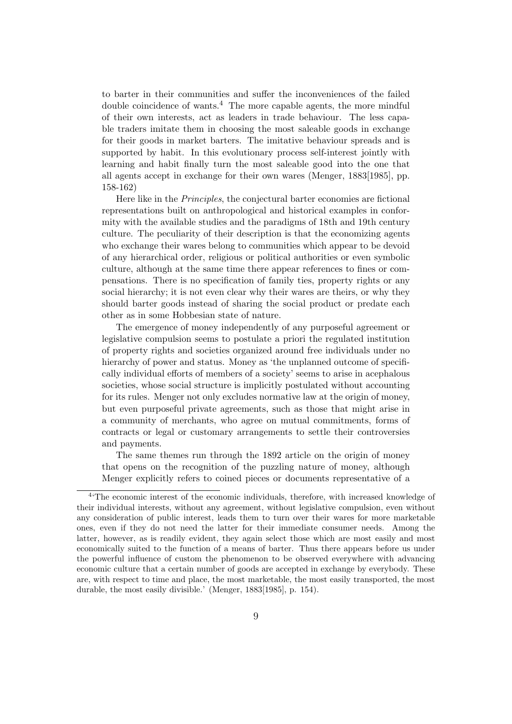to barter in their communities and suffer the inconveniences of the failed double coincidence of wants.<sup>4</sup> The more capable agents, the more mindful of their own interests, act as leaders in trade behaviour. The less capable traders imitate them in choosing the most saleable goods in exchange for their goods in market barters. The imitative behaviour spreads and is supported by habit. In this evolutionary process self-interest jointly with learning and habit finally turn the most saleable good into the one that all agents accept in exchange for their own wares (Menger, 1883[1985], pp. 158-162)

Here like in the Principles, the conjectural barter economies are fictional representations built on anthropological and historical examples in conformity with the available studies and the paradigms of 18th and 19th century culture. The peculiarity of their description is that the economizing agents who exchange their wares belong to communities which appear to be devoid of any hierarchical order, religious or political authorities or even symbolic culture, although at the same time there appear references to fines or compensations. There is no specification of family ties, property rights or any social hierarchy; it is not even clear why their wares are theirs, or why they should barter goods instead of sharing the social product or predate each other as in some Hobbesian state of nature.

The emergence of money independently of any purposeful agreement or legislative compulsion seems to postulate a priori the regulated institution of property rights and societies organized around free individuals under no hierarchy of power and status. Money as 'the unplanned outcome of specifically individual efforts of members of a society' seems to arise in acephalous societies, whose social structure is implicitly postulated without accounting for its rules. Menger not only excludes normative law at the origin of money, but even purposeful private agreements, such as those that might arise in a community of merchants, who agree on mutual commitments, forms of contracts or legal or customary arrangements to settle their controversies and payments.

The same themes run through the 1892 article on the origin of money that opens on the recognition of the puzzling nature of money, although Menger explicitly refers to coined pieces or documents representative of a

<sup>&</sup>lt;sup>4</sup>The economic interest of the economic individuals, therefore, with increased knowledge of their individual interests, without any agreement, without legislative compulsion, even without any consideration of public interest, leads them to turn over their wares for more marketable ones, even if they do not need the latter for their immediate consumer needs. Among the latter, however, as is readily evident, they again select those which are most easily and most economically suited to the function of a means of barter. Thus there appears before us under the powerful influence of custom the phenomenon to be observed everywhere with advancing economic culture that a certain number of goods are accepted in exchange by everybody. These are, with respect to time and place, the most marketable, the most easily transported, the most durable, the most easily divisible.' (Menger, 1883[1985], p. 154).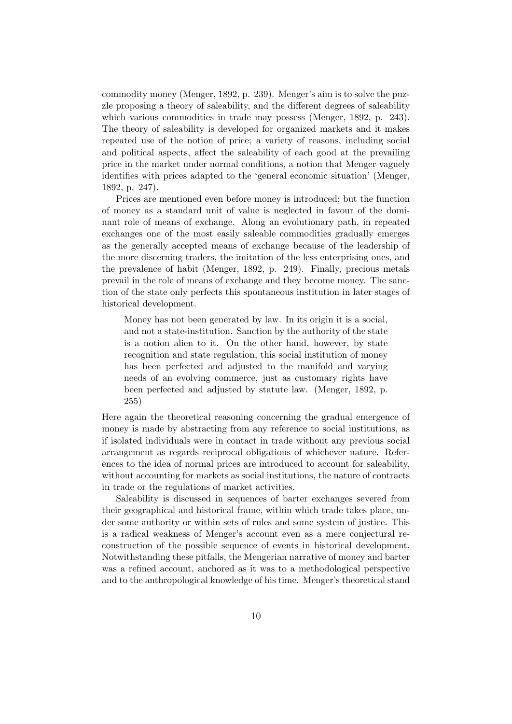commodity money (Menger, 1892, p. 239). Menger's aim is to solve the puzzle proposing a theory of saleability, and the different degrees of saleability which various commodities in trade may possess (Menger, 1892, p. 243). The theory of saleability is developed for organized markets and it makes repeated use of the notion of price; a variety of reasons, including social and political aspects, affect the saleability of each good at the prevailing price in the market under normal conditions, a notion that Menger vaguely identifies with prices adapted to the 'general economic situation' (Menger, 1892, p. 247).

Prices are mentioned even before money is introduced; but the function of money as a standard unit of value is neglected in favour of the dominant role of means of exchange. Along an evolutionary path, in repeated exchanges one of the most easily saleable commodities gradually emerges as the generally accepted means of exchange because of the leadership of the more discerning traders, the imitation of the less enterprising ones, and the prevalence of habit (Menger, 1892, p. 249). Finally, precious metals prevail in the role of means of exchange and they become money. The sanction of the state only perfects this spontaneous institution in later stages of historical development.

Money has not been generated by law. In its origin it is a social, and not a state-institution. Sanction by the authority of the state is a notion alien to it. On the other hand, however, by state recognition and state regulation, this social institution of money has been perfected and adjusted to the manifold and varying needs of an evolving commerce, just as customary rights have been perfected and adjusted by statute law. (Menger, 1892, p. 255)

Here again the theoretical reasoning concerning the gradual emergence of money is made by abstracting from any reference to social institutions, as if isolated individuals were in contact in trade without any previous social arrangement as regards reciprocal obligations of whichever nature. References to the idea of normal prices are introduced to account for saleability, without accounting for markets as social institutions, the nature of contracts in trade or the regulations of market activities.

Saleability is discussed in sequences of barter exchanges severed from their geographical and historical frame, within which trade takes place, under some authority or within sets of rules and some system of justice. This is a radical weakness of Menger's account even as a mere conjectural reconstruction of the possible sequence of events in historical development. Notwithstanding these pitfalls, the Mengerian narrative of money and barter was a refined account, anchored as it was to a methodological perspective and to the anthropological knowledge of his time. Menger's theoretical stand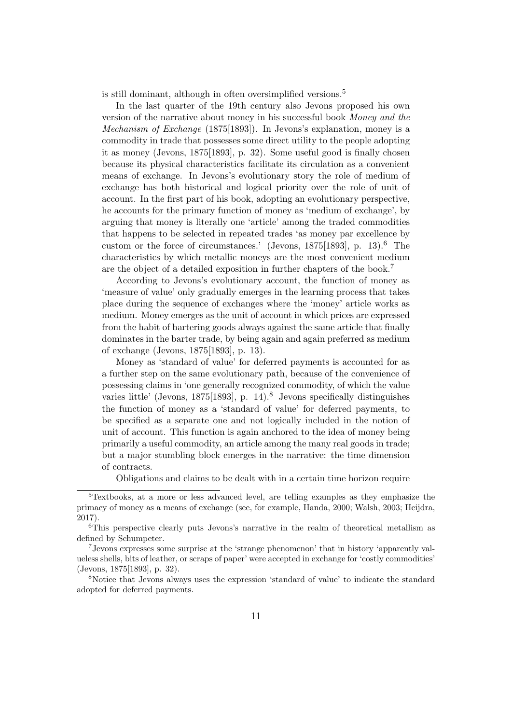is still dominant, although in often oversimplified versions.<sup>5</sup>

In the last quarter of the 19th century also Jevons proposed his own version of the narrative about money in his successful book Money and the Mechanism of Exchange (1875[1893]). In Jevons's explanation, money is a commodity in trade that possesses some direct utility to the people adopting it as money (Jevons, 1875[1893], p. 32). Some useful good is finally chosen because its physical characteristics facilitate its circulation as a convenient means of exchange. In Jevons's evolutionary story the role of medium of exchange has both historical and logical priority over the role of unit of account. In the first part of his book, adopting an evolutionary perspective, he accounts for the primary function of money as 'medium of exchange', by arguing that money is literally one 'article' among the traded commodities that happens to be selected in repeated trades 'as money par excellence by custom or the force of circumstances.' (Jevons, 1875[1893], p. 13).<sup>6</sup> The characteristics by which metallic moneys are the most convenient medium are the object of a detailed exposition in further chapters of the book.<sup>7</sup>

According to Jevons's evolutionary account, the function of money as 'measure of value' only gradually emerges in the learning process that takes place during the sequence of exchanges where the 'money' article works as medium. Money emerges as the unit of account in which prices are expressed from the habit of bartering goods always against the same article that finally dominates in the barter trade, by being again and again preferred as medium of exchange (Jevons, 1875[1893], p. 13).

Money as 'standard of value' for deferred payments is accounted for as a further step on the same evolutionary path, because of the convenience of possessing claims in 'one generally recognized commodity, of which the value varies little' (Jevons, 1875[1893], p. 14).<sup>8</sup> Jevons specifically distinguishes the function of money as a 'standard of value' for deferred payments, to be specified as a separate one and not logically included in the notion of unit of account. This function is again anchored to the idea of money being primarily a useful commodity, an article among the many real goods in trade; but a major stumbling block emerges in the narrative: the time dimension of contracts.

Obligations and claims to be dealt with in a certain time horizon require

<sup>5</sup>Textbooks, at a more or less advanced level, are telling examples as they emphasize the primacy of money as a means of exchange (see, for example, Handa, 2000; Walsh, 2003; Heijdra, 2017).

<sup>6</sup>This perspective clearly puts Jevons's narrative in the realm of theoretical metallism as defined by Schumpeter.

<sup>7</sup>Jevons expresses some surprise at the 'strange phenomenon' that in history 'apparently valueless shells, bits of leather, or scraps of paper' were accepted in exchange for 'costly commodities' (Jevons, 1875[1893], p. 32).

<sup>8</sup>Notice that Jevons always uses the expression 'standard of value' to indicate the standard adopted for deferred payments.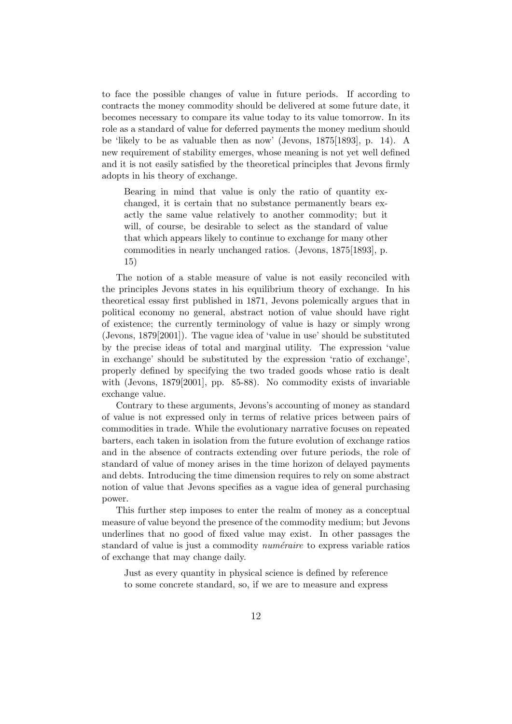to face the possible changes of value in future periods. If according to contracts the money commodity should be delivered at some future date, it becomes necessary to compare its value today to its value tomorrow. In its role as a standard of value for deferred payments the money medium should be 'likely to be as valuable then as now' (Jevons, 1875[1893], p. 14). A new requirement of stability emerges, whose meaning is not yet well defined and it is not easily satisfied by the theoretical principles that Jevons firmly adopts in his theory of exchange.

Bearing in mind that value is only the ratio of quantity exchanged, it is certain that no substance permanently bears exactly the same value relatively to another commodity; but it will, of course, be desirable to select as the standard of value that which appears likely to continue to exchange for many other commodities in nearly unchanged ratios. (Jevons, 1875[1893], p. 15)

The notion of a stable measure of value is not easily reconciled with the principles Jevons states in his equilibrium theory of exchange. In his theoretical essay first published in 1871, Jevons polemically argues that in political economy no general, abstract notion of value should have right of existence; the currently terminology of value is hazy or simply wrong (Jevons, 1879[2001]). The vague idea of 'value in use' should be substituted by the precise ideas of total and marginal utility. The expression 'value in exchange' should be substituted by the expression 'ratio of exchange', properly defined by specifying the two traded goods whose ratio is dealt with (Jevons, 1879[2001], pp. 85-88). No commodity exists of invariable exchange value.

Contrary to these arguments, Jevons's accounting of money as standard of value is not expressed only in terms of relative prices between pairs of commodities in trade. While the evolutionary narrative focuses on repeated barters, each taken in isolation from the future evolution of exchange ratios and in the absence of contracts extending over future periods, the role of standard of value of money arises in the time horizon of delayed payments and debts. Introducing the time dimension requires to rely on some abstract notion of value that Jevons specifies as a vague idea of general purchasing power.

This further step imposes to enter the realm of money as a conceptual measure of value beyond the presence of the commodity medium; but Jevons underlines that no good of fixed value may exist. In other passages the standard of value is just a commodity *numéraire* to express variable ratios of exchange that may change daily.

Just as every quantity in physical science is defined by reference to some concrete standard, so, if we are to measure and express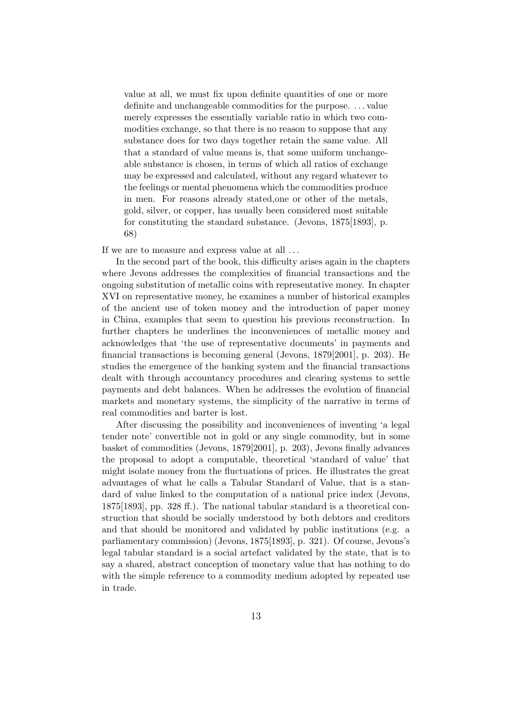value at all, we must fix upon definite quantities of one or more definite and unchangeable commodities for the purpose. . . . value merely expresses the essentially variable ratio in which two commodities exchange, so that there is no reason to suppose that any substance does for two days together retain the same value. All that a standard of value means is, that some uniform unchangeable substance is chosen, in terms of which all ratios of exchange may be expressed and calculated, without any regard whatever to the feelings or mental phenomena which the commodities produce in men. For reasons already stated,one or other of the metals, gold, silver, or copper, has usually been considered most suitable for constituting the standard substance. (Jevons, 1875[1893], p. 68)

If we are to measure and express value at all  $\dots$ 

In the second part of the book, this difficulty arises again in the chapters where Jevons addresses the complexities of financial transactions and the ongoing substitution of metallic coins with representative money. In chapter XVI on representative money, he examines a number of historical examples of the ancient use of token money and the introduction of paper money in China, examples that seem to question his previous reconstruction. In further chapters he underlines the inconveniences of metallic money and acknowledges that 'the use of representative documents' in payments and financial transactions is becoming general (Jevons, 1879[2001], p. 203). He studies the emergence of the banking system and the financial transactions dealt with through accountancy procedures and clearing systems to settle payments and debt balances. When he addresses the evolution of financial markets and monetary systems, the simplicity of the narrative in terms of real commodities and barter is lost.

After discussing the possibility and inconveniences of inventing 'a legal tender note' convertible not in gold or any single commodity, but in some basket of commodities (Jevons, 1879[2001], p. 203), Jevons finally advances the proposal to adopt a computable, theoretical 'standard of value' that might isolate money from the fluctuations of prices. He illustrates the great advantages of what he calls a Tabular Standard of Value, that is a standard of value linked to the computation of a national price index (Jevons, 1875[1893], pp. 328 ff.). The national tabular standard is a theoretical construction that should be socially understood by both debtors and creditors and that should be monitored and validated by public institutions (e.g. a parliamentary commission) (Jevons, 1875[1893], p. 321). Of course, Jevons's legal tabular standard is a social artefact validated by the state, that is to say a shared, abstract conception of monetary value that has nothing to do with the simple reference to a commodity medium adopted by repeated use in trade.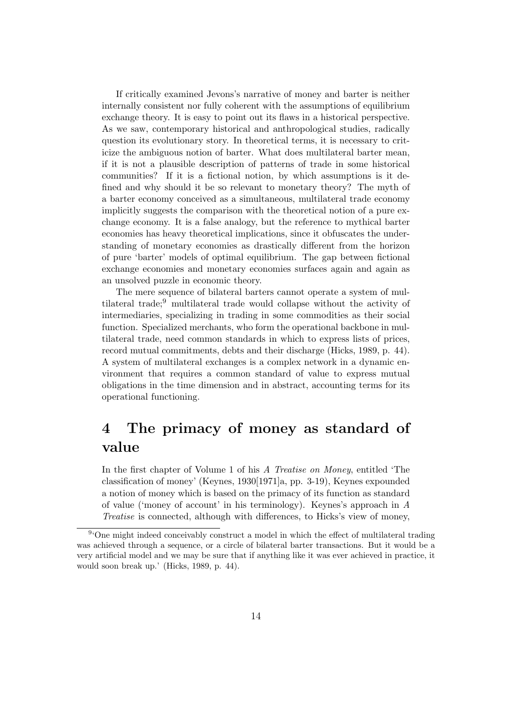If critically examined Jevons's narrative of money and barter is neither internally consistent nor fully coherent with the assumptions of equilibrium exchange theory. It is easy to point out its flaws in a historical perspective. As we saw, contemporary historical and anthropological studies, radically question its evolutionary story. In theoretical terms, it is necessary to criticize the ambiguous notion of barter. What does multilateral barter mean, if it is not a plausible description of patterns of trade in some historical communities? If it is a fictional notion, by which assumptions is it defined and why should it be so relevant to monetary theory? The myth of a barter economy conceived as a simultaneous, multilateral trade economy implicitly suggests the comparison with the theoretical notion of a pure exchange economy. It is a false analogy, but the reference to mythical barter economies has heavy theoretical implications, since it obfuscates the understanding of monetary economies as drastically different from the horizon of pure 'barter' models of optimal equilibrium. The gap between fictional exchange economies and monetary economies surfaces again and again as an unsolved puzzle in economic theory.

The mere sequence of bilateral barters cannot operate a system of multilateral trade;<sup>9</sup> multilateral trade would collapse without the activity of intermediaries, specializing in trading in some commodities as their social function. Specialized merchants, who form the operational backbone in multilateral trade, need common standards in which to express lists of prices, record mutual commitments, debts and their discharge (Hicks, 1989, p. 44). A system of multilateral exchanges is a complex network in a dynamic environment that requires a common standard of value to express mutual obligations in the time dimension and in abstract, accounting terms for its operational functioning.

## 4 The primacy of money as standard of value

In the first chapter of Volume 1 of his A Treatise on Money, entitled 'The classification of money' (Keynes, 1930[1971]a, pp. 3-19), Keynes expounded a notion of money which is based on the primacy of its function as standard of value ('money of account' in his terminology). Keynes's approach in A Treatise is connected, although with differences, to Hicks's view of money,

<sup>&</sup>lt;sup>94</sup>One might indeed conceivably construct a model in which the effect of multilateral trading was achieved through a sequence, or a circle of bilateral barter transactions. But it would be a very artificial model and we may be sure that if anything like it was ever achieved in practice, it would soon break up.' (Hicks, 1989, p. 44).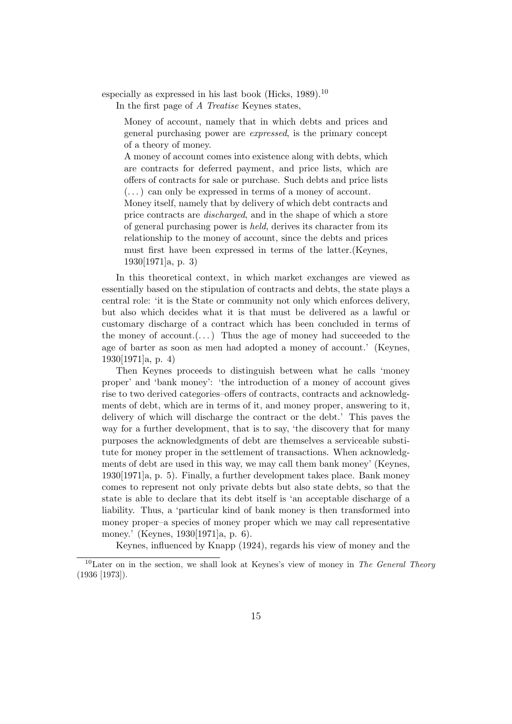especially as expressed in his last book (Hicks,  $1989$ ).<sup>10</sup>

In the first page of A Treatise Keynes states,

Money of account, namely that in which debts and prices and general purchasing power are expressed, is the primary concept of a theory of money.

A money of account comes into existence along with debts, which are contracts for deferred payment, and price lists, which are offers of contracts for sale or purchase. Such debts and price lists  $(\ldots)$  can only be expressed in terms of a money of account.

Money itself, namely that by delivery of which debt contracts and price contracts are discharged, and in the shape of which a store of general purchasing power is held, derives its character from its relationship to the money of account, since the debts and prices must first have been expressed in terms of the latter.(Keynes, 1930[1971]a, p. 3)

In this theoretical context, in which market exchanges are viewed as essentially based on the stipulation of contracts and debts, the state plays a central role: 'it is the State or community not only which enforces delivery, but also which decides what it is that must be delivered as a lawful or customary discharge of a contract which has been concluded in terms of the money of  $account.(\dots)$  Thus the age of money had succeeded to the age of barter as soon as men had adopted a money of account.' (Keynes, 1930[1971]a, p. 4)

Then Keynes proceeds to distinguish between what he calls 'money proper' and 'bank money': 'the introduction of a money of account gives rise to two derived categories–offers of contracts, contracts and acknowledgments of debt, which are in terms of it, and money proper, answering to it, delivery of which will discharge the contract or the debt.' This paves the way for a further development, that is to say, 'the discovery that for many purposes the acknowledgments of debt are themselves a serviceable substitute for money proper in the settlement of transactions. When acknowledgments of debt are used in this way, we may call them bank money' (Keynes, 1930[1971]a, p. 5). Finally, a further development takes place. Bank money comes to represent not only private debts but also state debts, so that the state is able to declare that its debt itself is 'an acceptable discharge of a liability. Thus, a 'particular kind of bank money is then transformed into money proper–a species of money proper which we may call representative money.' (Keynes, 1930[1971]a, p. 6).

Keynes, influenced by Knapp (1924), regards his view of money and the

 $10$ Later on in the section, we shall look at Keynes's view of money in The General Theory (1936 [1973]).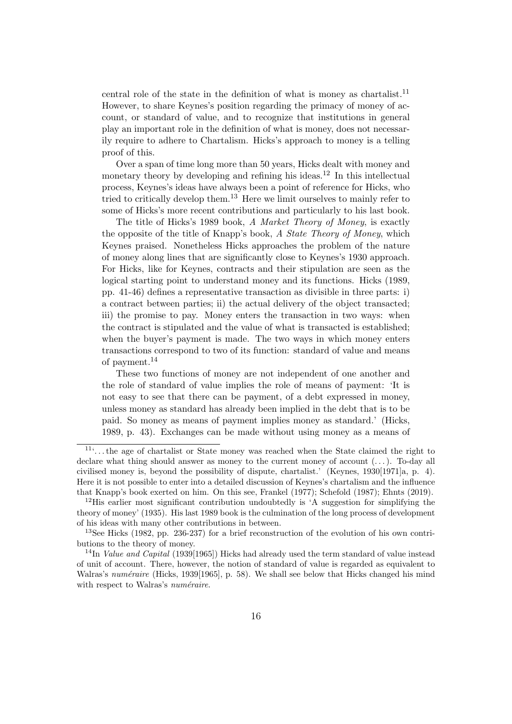central role of the state in the definition of what is money as chartalist.<sup>11</sup> However, to share Keynes's position regarding the primacy of money of account, or standard of value, and to recognize that institutions in general play an important role in the definition of what is money, does not necessarily require to adhere to Chartalism. Hicks's approach to money is a telling proof of this.

Over a span of time long more than 50 years, Hicks dealt with money and monetary theory by developing and refining his ideas.<sup>12</sup> In this intellectual process, Keynes's ideas have always been a point of reference for Hicks, who tried to critically develop them.<sup>13</sup> Here we limit ourselves to mainly refer to some of Hicks's more recent contributions and particularly to his last book.

The title of Hicks's 1989 book, A Market Theory of Money, is exactly the opposite of the title of Knapp's book, A State Theory of Money, which Keynes praised. Nonetheless Hicks approaches the problem of the nature of money along lines that are significantly close to Keynes's 1930 approach. For Hicks, like for Keynes, contracts and their stipulation are seen as the logical starting point to understand money and its functions. Hicks (1989, pp. 41-46) defines a representative transaction as divisible in three parts: i) a contract between parties; ii) the actual delivery of the object transacted; iii) the promise to pay. Money enters the transaction in two ways: when the contract is stipulated and the value of what is transacted is established; when the buyer's payment is made. The two ways in which money enters transactions correspond to two of its function: standard of value and means of payment.<sup>14</sup>

These two functions of money are not independent of one another and the role of standard of value implies the role of means of payment: 'It is not easy to see that there can be payment, of a debt expressed in money, unless money as standard has already been implied in the debt that is to be paid. So money as means of payment implies money as standard.' (Hicks, 1989, p. 43). Exchanges can be made without using money as a means of

<sup>11</sup>'. . . the age of chartalist or State money was reached when the State claimed the right to declare what thing should answer as money to the current money of account  $(\ldots)$ . To-day all civilised money is, beyond the possibility of dispute, chartalist.' (Keynes, 1930[1971]a, p. 4). Here it is not possible to enter into a detailed discussion of Keynes's chartalism and the influence that Knapp's book exerted on him. On this see, Frankel (1977); Schefold (1987); Ehnts (2019).

<sup>12</sup>His earlier most significant contribution undoubtedly is 'A suggestion for simplifying the theory of money' (1935). His last 1989 book is the culmination of the long process of development of his ideas with many other contributions in between.

<sup>&</sup>lt;sup>13</sup>See Hicks (1982, pp. 236-237) for a brief reconstruction of the evolution of his own contributions to the theory of money.

<sup>&</sup>lt;sup>14</sup>In *Value and Capital* (1939[1965]) Hicks had already used the term standard of value instead of unit of account. There, however, the notion of standard of value is regarded as equivalent to Walras's numéraire (Hicks, 1939[1965], p. 58). We shall see below that Hicks changed his mind with respect to Walras's numéraire.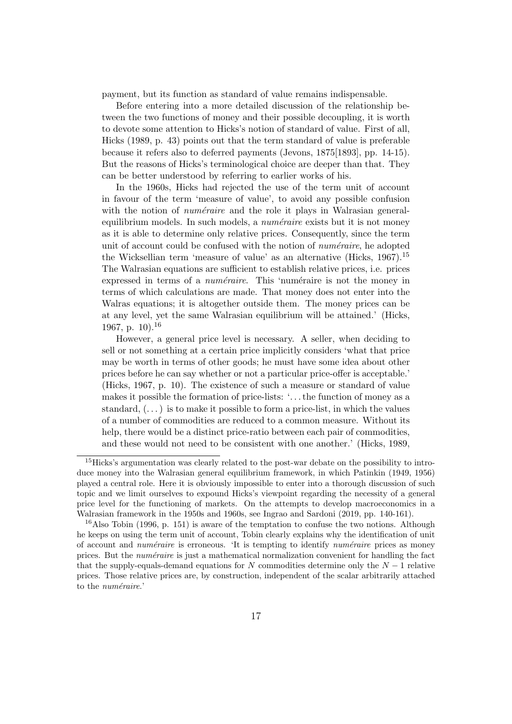payment, but its function as standard of value remains indispensable.

Before entering into a more detailed discussion of the relationship between the two functions of money and their possible decoupling, it is worth to devote some attention to Hicks's notion of standard of value. First of all, Hicks (1989, p. 43) points out that the term standard of value is preferable because it refers also to deferred payments (Jevons, 1875[1893], pp. 14-15). But the reasons of Hicks's terminological choice are deeper than that. They can be better understood by referring to earlier works of his.

In the 1960s, Hicks had rejected the use of the term unit of account in favour of the term 'measure of value', to avoid any possible confusion with the notion of  $numéraire$  and the role it plays in Walrasian generalequilibrium models. In such models, a *numéraire* exists but it is not money as it is able to determine only relative prices. Consequently, since the term unit of account could be confused with the notion of *numéraire*, he adopted the Wicksellian term 'measure of value' as an alternative (Hicks, 1967).<sup>15</sup> The Walrasian equations are sufficient to establish relative prices, i.e. prices expressed in terms of a *numéraire*. This 'numéraire is not the money in terms of which calculations are made. That money does not enter into the Walras equations; it is altogether outside them. The money prices can be at any level, yet the same Walrasian equilibrium will be attained.' (Hicks, 1967, p. 10).<sup>16</sup>

However, a general price level is necessary. A seller, when deciding to sell or not something at a certain price implicitly considers 'what that price may be worth in terms of other goods; he must have some idea about other prices before he can say whether or not a particular price-offer is acceptable.' (Hicks, 1967, p. 10). The existence of such a measure or standard of value makes it possible the formation of price-lists: '. . . the function of money as a standard,  $(\dots)$  is to make it possible to form a price-list, in which the values of a number of commodities are reduced to a common measure. Without its help, there would be a distinct price-ratio between each pair of commodities, and these would not need to be consistent with one another.' (Hicks, 1989,

<sup>&</sup>lt;sup>15</sup>Hicks's argumentation was clearly related to the post-war debate on the possibility to introduce money into the Walrasian general equilibrium framework, in which Patinkin (1949, 1956) played a central role. Here it is obviously impossible to enter into a thorough discussion of such topic and we limit ourselves to expound Hicks's viewpoint regarding the necessity of a general price level for the functioning of markets. On the attempts to develop macroeconomics in a Walrasian framework in the 1950s and 1960s, see Ingrao and Sardoni (2019, pp. 140-161).

<sup>16</sup>Also Tobin (1996, p. 151) is aware of the temptation to confuse the two notions. Although he keeps on using the term unit of account, Tobin clearly explains why the identification of unit of account and *numéraire* is erroneous. 'It is tempting to identify *numéraire* prices as money prices. But the *numéraire* is just a mathematical normalization convenient for handling the fact that the supply-equals-demand equations for N commodities determine only the  $N-1$  relative prices. Those relative prices are, by construction, independent of the scalar arbitrarily attached to the numéraire.'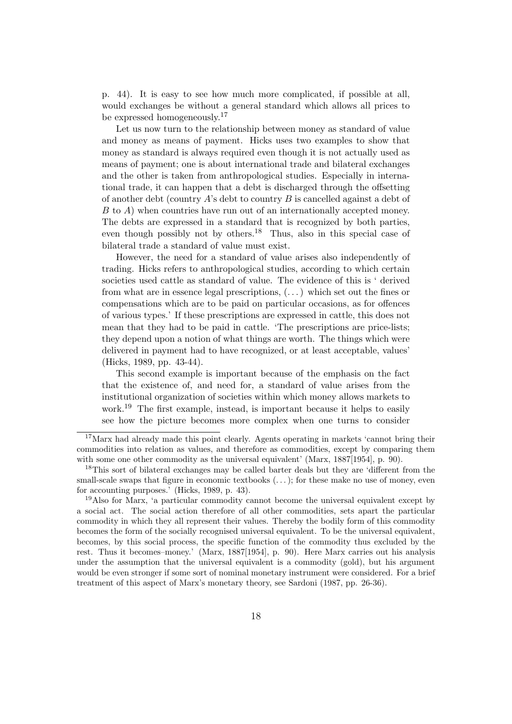p. 44). It is easy to see how much more complicated, if possible at all, would exchanges be without a general standard which allows all prices to be expressed homogeneously.<sup>17</sup>

Let us now turn to the relationship between money as standard of value and money as means of payment. Hicks uses two examples to show that money as standard is always required even though it is not actually used as means of payment; one is about international trade and bilateral exchanges and the other is taken from anthropological studies. Especially in international trade, it can happen that a debt is discharged through the offsetting of another debt (country  $A$ 's debt to country  $B$  is cancelled against a debt of B to A) when countries have run out of an internationally accepted money. The debts are expressed in a standard that is recognized by both parties, even though possibly not by others.<sup>18</sup> Thus, also in this special case of bilateral trade a standard of value must exist.

However, the need for a standard of value arises also independently of trading. Hicks refers to anthropological studies, according to which certain societies used cattle as standard of value. The evidence of this is ' derived from what are in essence legal prescriptions, (. . . ) which set out the fines or compensations which are to be paid on particular occasions, as for offences of various types.' If these prescriptions are expressed in cattle, this does not mean that they had to be paid in cattle. 'The prescriptions are price-lists; they depend upon a notion of what things are worth. The things which were delivered in payment had to have recognized, or at least acceptable, values' (Hicks, 1989, pp. 43-44).

This second example is important because of the emphasis on the fact that the existence of, and need for, a standard of value arises from the institutional organization of societies within which money allows markets to work.<sup>19</sup> The first example, instead, is important because it helps to easily see how the picture becomes more complex when one turns to consider

<sup>17</sup>Marx had already made this point clearly. Agents operating in markets 'cannot bring their commodities into relation as values, and therefore as commodities, except by comparing them with some one other commodity as the universal equivalent' (Marx, 1887[1954], p. 90).

<sup>&</sup>lt;sup>18</sup>This sort of bilateral exchanges may be called barter deals but they are 'different from the small-scale swaps that figure in economic textbooks  $(\ldots)$ ; for these make no use of money, even for accounting purposes.' (Hicks, 1989, p. 43).

<sup>19</sup>Also for Marx, 'a particular commodity cannot become the universal equivalent except by a social act. The social action therefore of all other commodities, sets apart the particular commodity in which they all represent their values. Thereby the bodily form of this commodity becomes the form of the socially recognised universal equivalent. To be the universal equivalent, becomes, by this social process, the specific function of the commodity thus excluded by the rest. Thus it becomes–money.' (Marx, 1887[1954], p. 90). Here Marx carries out his analysis under the assumption that the universal equivalent is a commodity (gold), but his argument would be even stronger if some sort of nominal monetary instrument were considered. For a brief treatment of this aspect of Marx's monetary theory, see Sardoni (1987, pp. 26-36).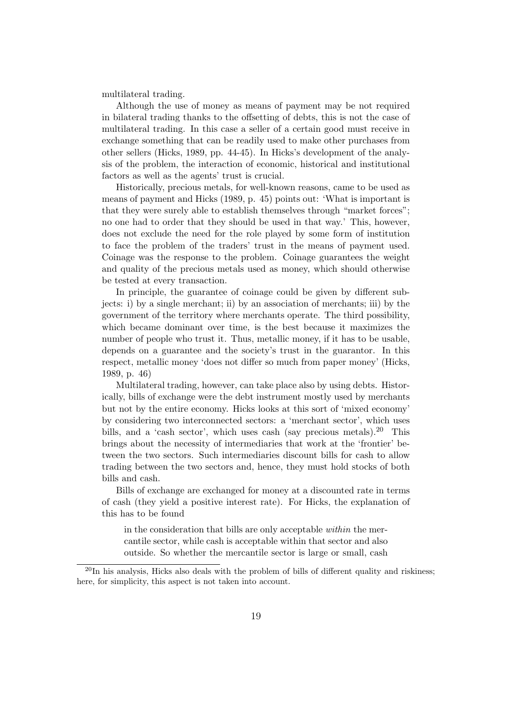multilateral trading.

Although the use of money as means of payment may be not required in bilateral trading thanks to the offsetting of debts, this is not the case of multilateral trading. In this case a seller of a certain good must receive in exchange something that can be readily used to make other purchases from other sellers (Hicks, 1989, pp. 44-45). In Hicks's development of the analysis of the problem, the interaction of economic, historical and institutional factors as well as the agents' trust is crucial.

Historically, precious metals, for well-known reasons, came to be used as means of payment and Hicks (1989, p. 45) points out: 'What is important is that they were surely able to establish themselves through "market forces"; no one had to order that they should be used in that way.' This, however, does not exclude the need for the role played by some form of institution to face the problem of the traders' trust in the means of payment used. Coinage was the response to the problem. Coinage guarantees the weight and quality of the precious metals used as money, which should otherwise be tested at every transaction.

In principle, the guarantee of coinage could be given by different subjects: i) by a single merchant; ii) by an association of merchants; iii) by the government of the territory where merchants operate. The third possibility, which became dominant over time, is the best because it maximizes the number of people who trust it. Thus, metallic money, if it has to be usable, depends on a guarantee and the society's trust in the guarantor. In this respect, metallic money 'does not differ so much from paper money' (Hicks, 1989, p. 46)

Multilateral trading, however, can take place also by using debts. Historically, bills of exchange were the debt instrument mostly used by merchants but not by the entire economy. Hicks looks at this sort of 'mixed economy' by considering two interconnected sectors: a 'merchant sector', which uses bills, and a 'cash sector', which uses cash (say precious metals).<sup>20</sup> This brings about the necessity of intermediaries that work at the 'frontier' between the two sectors. Such intermediaries discount bills for cash to allow trading between the two sectors and, hence, they must hold stocks of both bills and cash.

Bills of exchange are exchanged for money at a discounted rate in terms of cash (they yield a positive interest rate). For Hicks, the explanation of this has to be found

in the consideration that bills are only acceptable within the mercantile sector, while cash is acceptable within that sector and also outside. So whether the mercantile sector is large or small, cash

 $^{20}$ In his analysis, Hicks also deals with the problem of bills of different quality and riskiness; here, for simplicity, this aspect is not taken into account.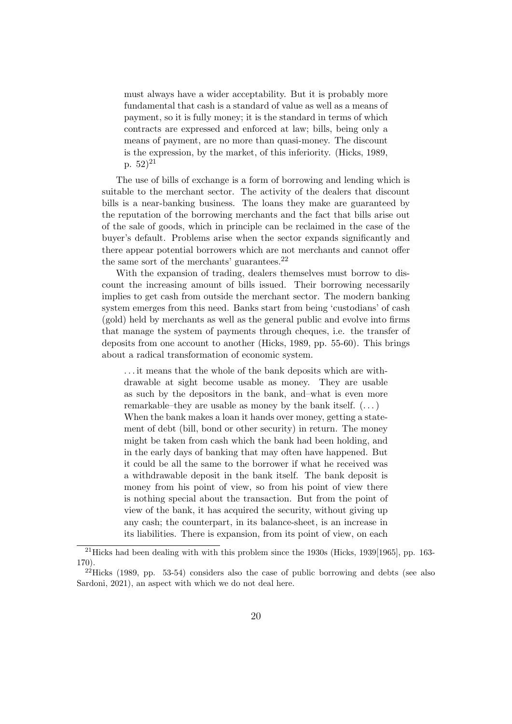must always have a wider acceptability. But it is probably more fundamental that cash is a standard of value as well as a means of payment, so it is fully money; it is the standard in terms of which contracts are expressed and enforced at law; bills, being only a means of payment, are no more than quasi-money. The discount is the expression, by the market, of this inferiority. (Hicks, 1989, p.  $52)^{21}$ 

The use of bills of exchange is a form of borrowing and lending which is suitable to the merchant sector. The activity of the dealers that discount bills is a near-banking business. The loans they make are guaranteed by the reputation of the borrowing merchants and the fact that bills arise out of the sale of goods, which in principle can be reclaimed in the case of the buyer's default. Problems arise when the sector expands significantly and there appear potential borrowers which are not merchants and cannot offer the same sort of the merchants' guarantees. $^{22}$ 

With the expansion of trading, dealers themselves must borrow to discount the increasing amount of bills issued. Their borrowing necessarily implies to get cash from outside the merchant sector. The modern banking system emerges from this need. Banks start from being 'custodians' of cash (gold) held by merchants as well as the general public and evolve into firms that manage the system of payments through cheques, i.e. the transfer of deposits from one account to another (Hicks, 1989, pp. 55-60). This brings about a radical transformation of economic system.

. . . it means that the whole of the bank deposits which are withdrawable at sight become usable as money. They are usable as such by the depositors in the bank, and–what is even more remarkable–they are usable as money by the bank itself. (. . . ) When the bank makes a loan it hands over money, getting a statement of debt (bill, bond or other security) in return. The money might be taken from cash which the bank had been holding, and in the early days of banking that may often have happened. But it could be all the same to the borrower if what he received was a withdrawable deposit in the bank itself. The bank deposit is money from his point of view, so from his point of view there is nothing special about the transaction. But from the point of view of the bank, it has acquired the security, without giving up any cash; the counterpart, in its balance-sheet, is an increase in its liabilities. There is expansion, from its point of view, on each

<sup>&</sup>lt;sup>21</sup>Hicks had been dealing with with this problem since the 1930s (Hicks, 1939[1965], pp. 163-170).

 $^{22}$ Hicks (1989, pp. 53-54) considers also the case of public borrowing and debts (see also Sardoni, 2021), an aspect with which we do not deal here.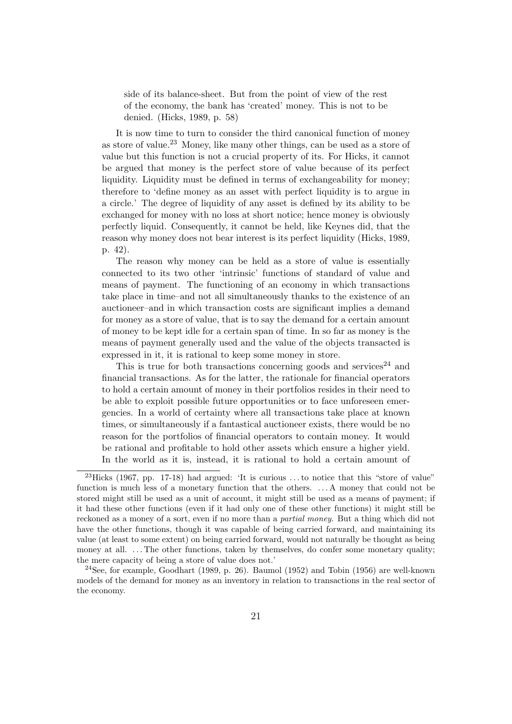side of its balance-sheet. But from the point of view of the rest of the economy, the bank has 'created' money. This is not to be denied. (Hicks, 1989, p. 58)

It is now time to turn to consider the third canonical function of money as store of value.<sup>23</sup> Money, like many other things, can be used as a store of value but this function is not a crucial property of its. For Hicks, it cannot be argued that money is the perfect store of value because of its perfect liquidity. Liquidity must be defined in terms of exchangeability for money; therefore to 'define money as an asset with perfect liquidity is to argue in a circle.' The degree of liquidity of any asset is defined by its ability to be exchanged for money with no loss at short notice; hence money is obviously perfectly liquid. Consequently, it cannot be held, like Keynes did, that the reason why money does not bear interest is its perfect liquidity (Hicks, 1989, p. 42).

The reason why money can be held as a store of value is essentially connected to its two other 'intrinsic' functions of standard of value and means of payment. The functioning of an economy in which transactions take place in time–and not all simultaneously thanks to the existence of an auctioneer–and in which transaction costs are significant implies a demand for money as a store of value, that is to say the demand for a certain amount of money to be kept idle for a certain span of time. In so far as money is the means of payment generally used and the value of the objects transacted is expressed in it, it is rational to keep some money in store.

This is true for both transactions concerning goods and services<sup>24</sup> and financial transactions. As for the latter, the rationale for financial operators to hold a certain amount of money in their portfolios resides in their need to be able to exploit possible future opportunities or to face unforeseen emergencies. In a world of certainty where all transactions take place at known times, or simultaneously if a fantastical auctioneer exists, there would be no reason for the portfolios of financial operators to contain money. It would be rational and profitable to hold other assets which ensure a higher yield. In the world as it is, instead, it is rational to hold a certain amount of

<sup>&</sup>lt;sup>23</sup>Hicks (1967, pp. 17-18) had argued: 'It is curious ...to notice that this "store of value" function is much less of a monetary function that the others. . . . A money that could not be stored might still be used as a unit of account, it might still be used as a means of payment; if it had these other functions (even if it had only one of these other functions) it might still be reckoned as a money of a sort, even if no more than a *partial money*. But a thing which did not have the other functions, though it was capable of being carried forward, and maintaining its value (at least to some extent) on being carried forward, would not naturally be thought as being money at all. . . . The other functions, taken by themselves, do confer some monetary quality; the mere capacity of being a store of value does not.'

<sup>&</sup>lt;sup>24</sup>See, for example, Goodhart (1989, p. 26). Baumol (1952) and Tobin (1956) are well-known models of the demand for money as an inventory in relation to transactions in the real sector of the economy.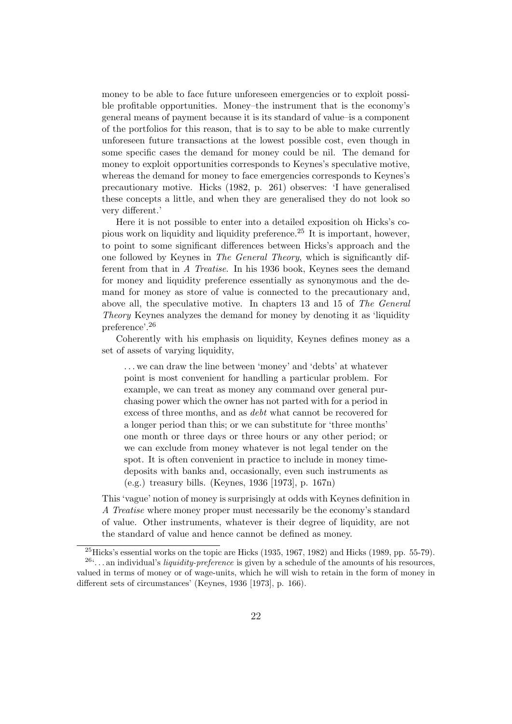money to be able to face future unforeseen emergencies or to exploit possible profitable opportunities. Money–the instrument that is the economy's general means of payment because it is its standard of value–is a component of the portfolios for this reason, that is to say to be able to make currently unforeseen future transactions at the lowest possible cost, even though in some specific cases the demand for money could be nil. The demand for money to exploit opportunities corresponds to Keynes's speculative motive, whereas the demand for money to face emergencies corresponds to Keynes's precautionary motive. Hicks (1982, p. 261) observes: 'I have generalised these concepts a little, and when they are generalised they do not look so very different.'

Here it is not possible to enter into a detailed exposition oh Hicks's copious work on liquidity and liquidity preference.<sup>25</sup> It is important, however, to point to some significant differences between Hicks's approach and the one followed by Keynes in The General Theory, which is significantly different from that in A Treatise. In his 1936 book, Keynes sees the demand for money and liquidity preference essentially as synonymous and the demand for money as store of value is connected to the precautionary and, above all, the speculative motive. In chapters 13 and 15 of The General Theory Keynes analyzes the demand for money by denoting it as 'liquidity preference'.<sup>26</sup>

Coherently with his emphasis on liquidity, Keynes defines money as a set of assets of varying liquidity,

. . . we can draw the line between 'money' and 'debts' at whatever point is most convenient for handling a particular problem. For example, we can treat as money any command over general purchasing power which the owner has not parted with for a period in excess of three months, and as debt what cannot be recovered for a longer period than this; or we can substitute for 'three months' one month or three days or three hours or any other period; or we can exclude from money whatever is not legal tender on the spot. It is often convenient in practice to include in money timedeposits with banks and, occasionally, even such instruments as (e.g.) treasury bills. (Keynes, 1936 [1973], p. 167n)

This 'vague' notion of money is surprisingly at odds with Keynes definition in A Treatise where money proper must necessarily be the economy's standard of value. Other instruments, whatever is their degree of liquidity, are not the standard of value and hence cannot be defined as money.

 $^{25}$ Hicks's essential works on the topic are Hicks (1935, 1967, 1982) and Hicks (1989, pp. 55-79).

 $^{26}$ "... an individual's *liquidity-preference* is given by a schedule of the amounts of his resources, valued in terms of money or of wage-units, which he will wish to retain in the form of money in different sets of circumstances' (Keynes, 1936 [1973], p. 166).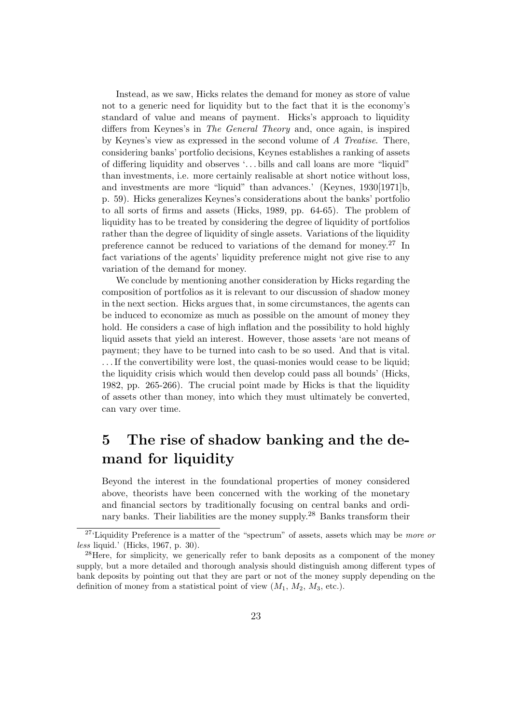Instead, as we saw, Hicks relates the demand for money as store of value not to a generic need for liquidity but to the fact that it is the economy's standard of value and means of payment. Hicks's approach to liquidity differs from Keynes's in The General Theory and, once again, is inspired by Keynes's view as expressed in the second volume of A Treatise. There, considering banks' portfolio decisions, Keynes establishes a ranking of assets of differing liquidity and observes '. . . bills and call loans are more "liquid" than investments, i.e. more certainly realisable at short notice without loss, and investments are more "liquid" than advances.' (Keynes, 1930[1971]b, p. 59). Hicks generalizes Keynes's considerations about the banks' portfolio to all sorts of firms and assets (Hicks, 1989, pp. 64-65). The problem of liquidity has to be treated by considering the degree of liquidity of portfolios rather than the degree of liquidity of single assets. Variations of the liquidity preference cannot be reduced to variations of the demand for money.<sup>27</sup> In fact variations of the agents' liquidity preference might not give rise to any variation of the demand for money.

We conclude by mentioning another consideration by Hicks regarding the composition of portfolios as it is relevant to our discussion of shadow money in the next section. Hicks argues that, in some circumstances, the agents can be induced to economize as much as possible on the amount of money they hold. He considers a case of high inflation and the possibility to hold highly liquid assets that yield an interest. However, those assets 'are not means of payment; they have to be turned into cash to be so used. And that is vital. ... If the convertibility were lost, the quasi-monies would cease to be liquid: the liquidity crisis which would then develop could pass all bounds' (Hicks, 1982, pp. 265-266). The crucial point made by Hicks is that the liquidity of assets other than money, into which they must ultimately be converted, can vary over time.

# 5 The rise of shadow banking and the demand for liquidity

Beyond the interest in the foundational properties of money considered above, theorists have been concerned with the working of the monetary and financial sectors by traditionally focusing on central banks and ordinary banks. Their liabilities are the money supply.<sup>28</sup> Banks transform their

<sup>&</sup>lt;sup>27</sup>'Liquidity Preference is a matter of the "spectrum" of assets, assets which may be *more or* less liquid.' (Hicks, 1967, p. 30).

<sup>&</sup>lt;sup>28</sup>Here, for simplicity, we generically refer to bank deposits as a component of the money supply, but a more detailed and thorough analysis should distinguish among different types of bank deposits by pointing out that they are part or not of the money supply depending on the definition of money from a statistical point of view  $(M_1, M_2, M_3, \text{etc.}).$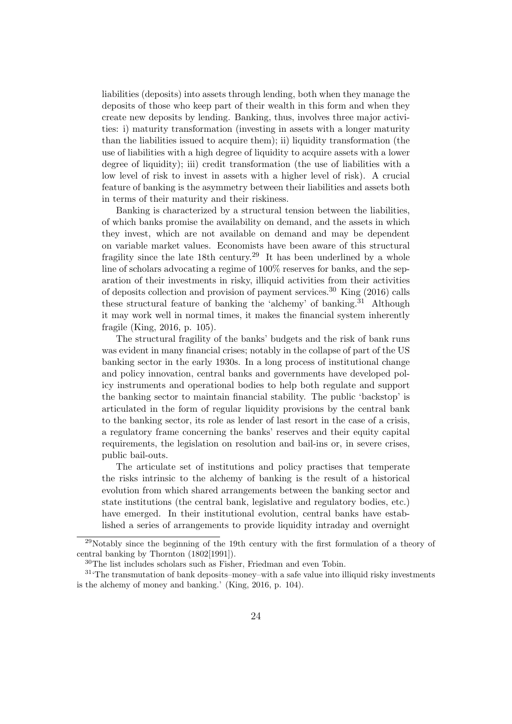liabilities (deposits) into assets through lending, both when they manage the deposits of those who keep part of their wealth in this form and when they create new deposits by lending. Banking, thus, involves three major activities: i) maturity transformation (investing in assets with a longer maturity than the liabilities issued to acquire them); ii) liquidity transformation (the use of liabilities with a high degree of liquidity to acquire assets with a lower degree of liquidity); iii) credit transformation (the use of liabilities with a low level of risk to invest in assets with a higher level of risk). A crucial feature of banking is the asymmetry between their liabilities and assets both in terms of their maturity and their riskiness.

Banking is characterized by a structural tension between the liabilities, of which banks promise the availability on demand, and the assets in which they invest, which are not available on demand and may be dependent on variable market values. Economists have been aware of this structural fragility since the late 18th century.<sup>29</sup> It has been underlined by a whole line of scholars advocating a regime of 100% reserves for banks, and the separation of their investments in risky, illiquid activities from their activities of deposits collection and provision of payment services.<sup>30</sup> King  $(2016)$  calls these structural feature of banking the 'alchemy' of banking.<sup>31</sup> Although it may work well in normal times, it makes the financial system inherently fragile (King, 2016, p. 105).

The structural fragility of the banks' budgets and the risk of bank runs was evident in many financial crises; notably in the collapse of part of the US banking sector in the early 1930s. In a long process of institutional change and policy innovation, central banks and governments have developed policy instruments and operational bodies to help both regulate and support the banking sector to maintain financial stability. The public 'backstop' is articulated in the form of regular liquidity provisions by the central bank to the banking sector, its role as lender of last resort in the case of a crisis, a regulatory frame concerning the banks' reserves and their equity capital requirements, the legislation on resolution and bail-ins or, in severe crises, public bail-outs.

The articulate set of institutions and policy practises that temperate the risks intrinsic to the alchemy of banking is the result of a historical evolution from which shared arrangements between the banking sector and state institutions (the central bank, legislative and regulatory bodies, etc.) have emerged. In their institutional evolution, central banks have established a series of arrangements to provide liquidity intraday and overnight

<sup>29</sup>Notably since the beginning of the 19th century with the first formulation of a theory of central banking by Thornton (1802[1991]).

<sup>30</sup>The list includes scholars such as Fisher, Friedman and even Tobin.

<sup>31</sup>'The transmutation of bank deposits–money–with a safe value into illiquid risky investments is the alchemy of money and banking.' (King, 2016, p. 104).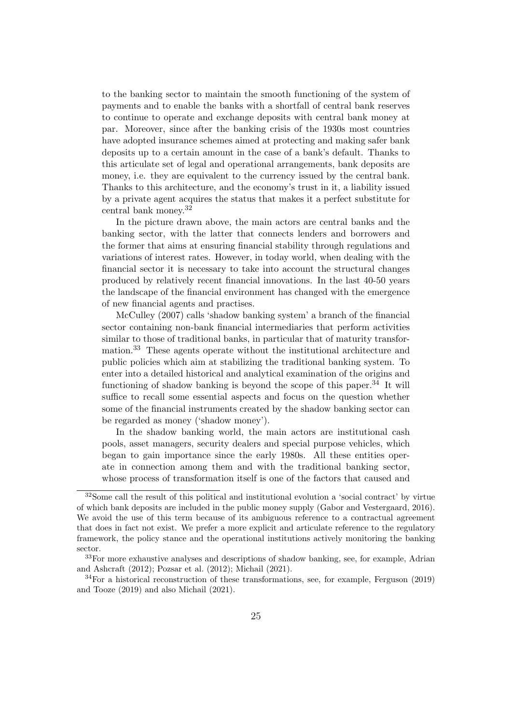to the banking sector to maintain the smooth functioning of the system of payments and to enable the banks with a shortfall of central bank reserves to continue to operate and exchange deposits with central bank money at par. Moreover, since after the banking crisis of the 1930s most countries have adopted insurance schemes aimed at protecting and making safer bank deposits up to a certain amount in the case of a bank's default. Thanks to this articulate set of legal and operational arrangements, bank deposits are money, i.e. they are equivalent to the currency issued by the central bank. Thanks to this architecture, and the economy's trust in it, a liability issued by a private agent acquires the status that makes it a perfect substitute for central bank money.<sup>32</sup>

In the picture drawn above, the main actors are central banks and the banking sector, with the latter that connects lenders and borrowers and the former that aims at ensuring financial stability through regulations and variations of interest rates. However, in today world, when dealing with the financial sector it is necessary to take into account the structural changes produced by relatively recent financial innovations. In the last 40-50 years the landscape of the financial environment has changed with the emergence of new financial agents and practises.

McCulley (2007) calls 'shadow banking system' a branch of the financial sector containing non-bank financial intermediaries that perform activities similar to those of traditional banks, in particular that of maturity transformation.<sup>33</sup> These agents operate without the institutional architecture and public policies which aim at stabilizing the traditional banking system. To enter into a detailed historical and analytical examination of the origins and functioning of shadow banking is beyond the scope of this paper.<sup>34</sup> It will suffice to recall some essential aspects and focus on the question whether some of the financial instruments created by the shadow banking sector can be regarded as money ('shadow money').

In the shadow banking world, the main actors are institutional cash pools, asset managers, security dealers and special purpose vehicles, which began to gain importance since the early 1980s. All these entities operate in connection among them and with the traditional banking sector, whose process of transformation itself is one of the factors that caused and

<sup>32</sup>Some call the result of this political and institutional evolution a 'social contract' by virtue of which bank deposits are included in the public money supply (Gabor and Vestergaard, 2016). We avoid the use of this term because of its ambiguous reference to a contractual agreement that does in fact not exist. We prefer a more explicit and articulate reference to the regulatory framework, the policy stance and the operational institutions actively monitoring the banking sector.

<sup>33</sup>For more exhaustive analyses and descriptions of shadow banking, see, for example, Adrian and Ashcraft (2012); Pozsar et al. (2012); Michail (2021).

<sup>34</sup>For a historical reconstruction of these transformations, see, for example, Ferguson (2019) and Tooze (2019) and also Michail (2021).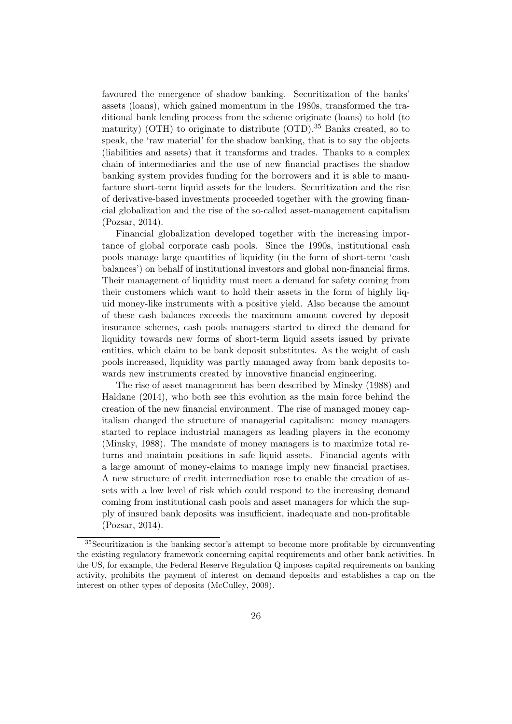favoured the emergence of shadow banking. Securitization of the banks' assets (loans), which gained momentum in the 1980s, transformed the traditional bank lending process from the scheme originate (loans) to hold (to maturity) (OTH) to originate to distribute (OTD).<sup>35</sup> Banks created, so to speak, the 'raw material' for the shadow banking, that is to say the objects (liabilities and assets) that it transforms and trades. Thanks to a complex chain of intermediaries and the use of new financial practises the shadow banking system provides funding for the borrowers and it is able to manufacture short-term liquid assets for the lenders. Securitization and the rise of derivative-based investments proceeded together with the growing financial globalization and the rise of the so-called asset-management capitalism (Pozsar, 2014).

Financial globalization developed together with the increasing importance of global corporate cash pools. Since the 1990s, institutional cash pools manage large quantities of liquidity (in the form of short-term 'cash balances') on behalf of institutional investors and global non-financial firms. Their management of liquidity must meet a demand for safety coming from their customers which want to hold their assets in the form of highly liquid money-like instruments with a positive yield. Also because the amount of these cash balances exceeds the maximum amount covered by deposit insurance schemes, cash pools managers started to direct the demand for liquidity towards new forms of short-term liquid assets issued by private entities, which claim to be bank deposit substitutes. As the weight of cash pools increased, liquidity was partly managed away from bank deposits towards new instruments created by innovative financial engineering.

The rise of asset management has been described by Minsky (1988) and Haldane (2014), who both see this evolution as the main force behind the creation of the new financial environment. The rise of managed money capitalism changed the structure of managerial capitalism: money managers started to replace industrial managers as leading players in the economy (Minsky, 1988). The mandate of money managers is to maximize total returns and maintain positions in safe liquid assets. Financial agents with a large amount of money-claims to manage imply new financial practises. A new structure of credit intermediation rose to enable the creation of assets with a low level of risk which could respond to the increasing demand coming from institutional cash pools and asset managers for which the supply of insured bank deposits was insufficient, inadequate and non-profitable (Pozsar, 2014).

<sup>35</sup>Securitization is the banking sector's attempt to become more profitable by circumventing the existing regulatory framework concerning capital requirements and other bank activities. In the US, for example, the Federal Reserve Regulation Q imposes capital requirements on banking activity, prohibits the payment of interest on demand deposits and establishes a cap on the interest on other types of deposits (McCulley, 2009).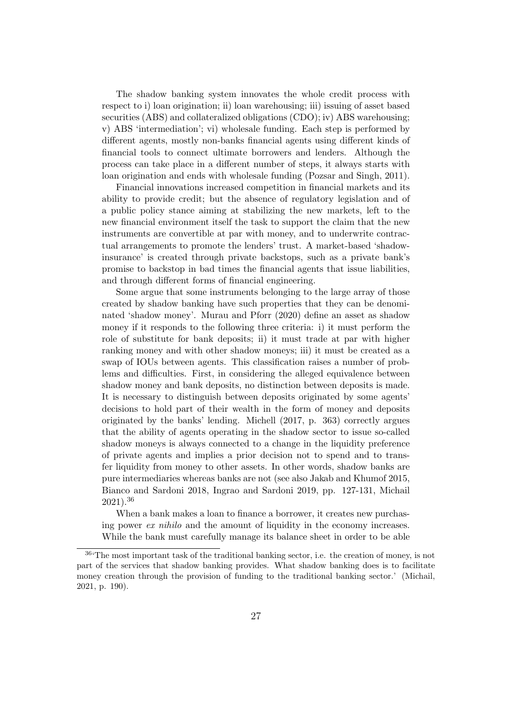The shadow banking system innovates the whole credit process with respect to i) loan origination; ii) loan warehousing; iii) issuing of asset based securities (ABS) and collateralized obligations (CDO); iv) ABS warehousing; v) ABS 'intermediation'; vi) wholesale funding. Each step is performed by different agents, mostly non-banks financial agents using different kinds of financial tools to connect ultimate borrowers and lenders. Although the process can take place in a different number of steps, it always starts with loan origination and ends with wholesale funding (Pozsar and Singh, 2011).

Financial innovations increased competition in financial markets and its ability to provide credit; but the absence of regulatory legislation and of a public policy stance aiming at stabilizing the new markets, left to the new financial environment itself the task to support the claim that the new instruments are convertible at par with money, and to underwrite contractual arrangements to promote the lenders' trust. A market-based 'shadowinsurance' is created through private backstops, such as a private bank's promise to backstop in bad times the financial agents that issue liabilities, and through different forms of financial engineering.

Some argue that some instruments belonging to the large array of those created by shadow banking have such properties that they can be denominated 'shadow money'. Murau and Pforr (2020) define an asset as shadow money if it responds to the following three criteria: i) it must perform the role of substitute for bank deposits; ii) it must trade at par with higher ranking money and with other shadow moneys; iii) it must be created as a swap of IOUs between agents. This classification raises a number of problems and difficulties. First, in considering the alleged equivalence between shadow money and bank deposits, no distinction between deposits is made. It is necessary to distinguish between deposits originated by some agents' decisions to hold part of their wealth in the form of money and deposits originated by the banks' lending. Michell (2017, p. 363) correctly argues that the ability of agents operating in the shadow sector to issue so-called shadow moneys is always connected to a change in the liquidity preference of private agents and implies a prior decision not to spend and to transfer liquidity from money to other assets. In other words, shadow banks are pure intermediaries whereas banks are not (see also Jakab and Khumof 2015, Bianco and Sardoni 2018, Ingrao and Sardoni 2019, pp. 127-131, Michail  $2021$ ).<sup>36</sup>

When a bank makes a loan to finance a borrower, it creates new purchasing power *ex nihilo* and the amount of liquidity in the economy increases. While the bank must carefully manage its balance sheet in order to be able

<sup>36</sup>'The most important task of the traditional banking sector, i.e. the creation of money, is not part of the services that shadow banking provides. What shadow banking does is to facilitate money creation through the provision of funding to the traditional banking sector.' (Michail, 2021, p. 190).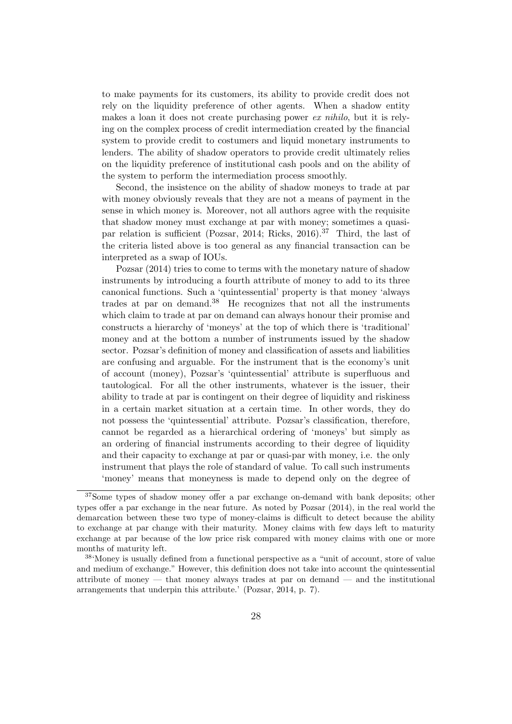to make payments for its customers, its ability to provide credit does not rely on the liquidity preference of other agents. When a shadow entity makes a loan it does not create purchasing power ex nihilo, but it is relying on the complex process of credit intermediation created by the financial system to provide credit to costumers and liquid monetary instruments to lenders. The ability of shadow operators to provide credit ultimately relies on the liquidity preference of institutional cash pools and on the ability of the system to perform the intermediation process smoothly.

Second, the insistence on the ability of shadow moneys to trade at par with money obviously reveals that they are not a means of payment in the sense in which money is. Moreover, not all authors agree with the requisite that shadow money must exchange at par with money; sometimes a quasipar relation is sufficient (Pozsar, 2014; Ricks, 2016).<sup>37</sup> Third, the last of the criteria listed above is too general as any financial transaction can be interpreted as a swap of IOUs.

Pozsar (2014) tries to come to terms with the monetary nature of shadow instruments by introducing a fourth attribute of money to add to its three canonical functions. Such a 'quintessential' property is that money 'always trades at par on demand.<sup>38</sup> He recognizes that not all the instruments which claim to trade at par on demand can always honour their promise and constructs a hierarchy of 'moneys' at the top of which there is 'traditional' money and at the bottom a number of instruments issued by the shadow sector. Pozsar's definition of money and classification of assets and liabilities are confusing and arguable. For the instrument that is the economy's unit of account (money), Pozsar's 'quintessential' attribute is superfluous and tautological. For all the other instruments, whatever is the issuer, their ability to trade at par is contingent on their degree of liquidity and riskiness in a certain market situation at a certain time. In other words, they do not possess the 'quintessential' attribute. Pozsar's classification, therefore, cannot be regarded as a hierarchical ordering of 'moneys' but simply as an ordering of financial instruments according to their degree of liquidity and their capacity to exchange at par or quasi-par with money, i.e. the only instrument that plays the role of standard of value. To call such instruments 'money' means that moneyness is made to depend only on the degree of

<sup>&</sup>lt;sup>37</sup>Some types of shadow money offer a par exchange on-demand with bank deposits; other types offer a par exchange in the near future. As noted by Pozsar (2014), in the real world the demarcation between these two type of money-claims is difficult to detect because the ability to exchange at par change with their maturity. Money claims with few days left to maturity exchange at par because of the low price risk compared with money claims with one or more months of maturity left.

<sup>38</sup>'Money is usually defined from a functional perspective as a "unit of account, store of value and medium of exchange." However, this definition does not take into account the quintessential attribute of money — that money always trades at par on demand — and the institutional arrangements that underpin this attribute.' (Pozsar, 2014, p. 7).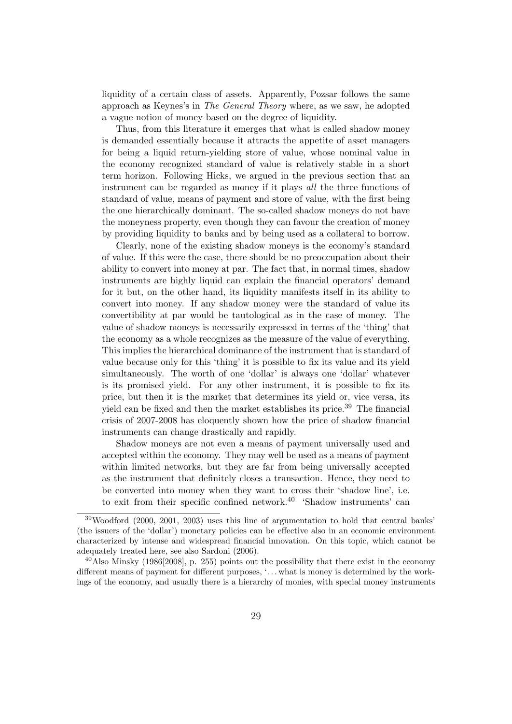liquidity of a certain class of assets. Apparently, Pozsar follows the same approach as Keynes's in The General Theory where, as we saw, he adopted a vague notion of money based on the degree of liquidity.

Thus, from this literature it emerges that what is called shadow money is demanded essentially because it attracts the appetite of asset managers for being a liquid return-yielding store of value, whose nominal value in the economy recognized standard of value is relatively stable in a short term horizon. Following Hicks, we argued in the previous section that an instrument can be regarded as money if it plays all the three functions of standard of value, means of payment and store of value, with the first being the one hierarchically dominant. The so-called shadow moneys do not have the moneyness property, even though they can favour the creation of money by providing liquidity to banks and by being used as a collateral to borrow.

Clearly, none of the existing shadow moneys is the economy's standard of value. If this were the case, there should be no preoccupation about their ability to convert into money at par. The fact that, in normal times, shadow instruments are highly liquid can explain the financial operators' demand for it but, on the other hand, its liquidity manifests itself in its ability to convert into money. If any shadow money were the standard of value its convertibility at par would be tautological as in the case of money. The value of shadow moneys is necessarily expressed in terms of the 'thing' that the economy as a whole recognizes as the measure of the value of everything. This implies the hierarchical dominance of the instrument that is standard of value because only for this 'thing' it is possible to fix its value and its yield simultaneously. The worth of one 'dollar' is always one 'dollar' whatever is its promised yield. For any other instrument, it is possible to fix its price, but then it is the market that determines its yield or, vice versa, its yield can be fixed and then the market establishes its price.<sup>39</sup> The financial crisis of 2007-2008 has eloquently shown how the price of shadow financial instruments can change drastically and rapidly.

Shadow moneys are not even a means of payment universally used and accepted within the economy. They may well be used as a means of payment within limited networks, but they are far from being universally accepted as the instrument that definitely closes a transaction. Hence, they need to be converted into money when they want to cross their 'shadow line', i.e. to exit from their specific confined network.<sup>40</sup> 'Shadow instruments' can

<sup>39</sup>Woodford (2000, 2001, 2003) uses this line of argumentation to hold that central banks' (the issuers of the 'dollar') monetary policies can be effective also in an economic environment characterized by intense and widespread financial innovation. On this topic, which cannot be adequately treated here, see also Sardoni (2006).

 $^{40}$ Also Minsky (1986[2008], p. 255) points out the possibility that there exist in the economy different means of payment for different purposes, '. . . what is money is determined by the workings of the economy, and usually there is a hierarchy of monies, with special money instruments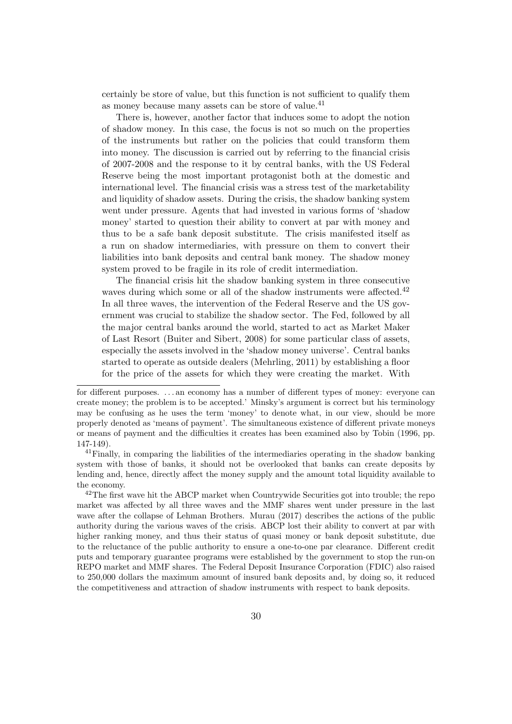certainly be store of value, but this function is not sufficient to qualify them as money because many assets can be store of value.<sup>41</sup>

There is, however, another factor that induces some to adopt the notion of shadow money. In this case, the focus is not so much on the properties of the instruments but rather on the policies that could transform them into money. The discussion is carried out by referring to the financial crisis of 2007-2008 and the response to it by central banks, with the US Federal Reserve being the most important protagonist both at the domestic and international level. The financial crisis was a stress test of the marketability and liquidity of shadow assets. During the crisis, the shadow banking system went under pressure. Agents that had invested in various forms of 'shadow money' started to question their ability to convert at par with money and thus to be a safe bank deposit substitute. The crisis manifested itself as a run on shadow intermediaries, with pressure on them to convert their liabilities into bank deposits and central bank money. The shadow money system proved to be fragile in its role of credit intermediation.

The financial crisis hit the shadow banking system in three consecutive waves during which some or all of the shadow instruments were affected.<sup>42</sup> In all three waves, the intervention of the Federal Reserve and the US government was crucial to stabilize the shadow sector. The Fed, followed by all the major central banks around the world, started to act as Market Maker of Last Resort (Buiter and Sibert, 2008) for some particular class of assets, especially the assets involved in the 'shadow money universe'. Central banks started to operate as outside dealers (Mehrling, 2011) by establishing a floor for the price of the assets for which they were creating the market. With

for different purposes. . . . an economy has a number of different types of money: everyone can create money; the problem is to be accepted.' Minsky's argument is correct but his terminology may be confusing as he uses the term 'money' to denote what, in our view, should be more properly denoted as 'means of payment'. The simultaneous existence of different private moneys or means of payment and the difficulties it creates has been examined also by Tobin (1996, pp. 147-149).

<sup>&</sup>lt;sup>41</sup>Finally, in comparing the liabilities of the intermediaries operating in the shadow banking system with those of banks, it should not be overlooked that banks can create deposits by lending and, hence, directly affect the money supply and the amount total liquidity available to the economy.

 $^{42}$ The first wave hit the ABCP market when Countrywide Securities got into trouble; the repo market was affected by all three waves and the MMF shares went under pressure in the last wave after the collapse of Lehman Brothers. Murau (2017) describes the actions of the public authority during the various waves of the crisis. ABCP lost their ability to convert at par with higher ranking money, and thus their status of quasi money or bank deposit substitute, due to the reluctance of the public authority to ensure a one-to-one par clearance. Different credit puts and temporary guarantee programs were established by the government to stop the run-on REPO market and MMF shares. The Federal Deposit Insurance Corporation (FDIC) also raised to 250,000 dollars the maximum amount of insured bank deposits and, by doing so, it reduced the competitiveness and attraction of shadow instruments with respect to bank deposits.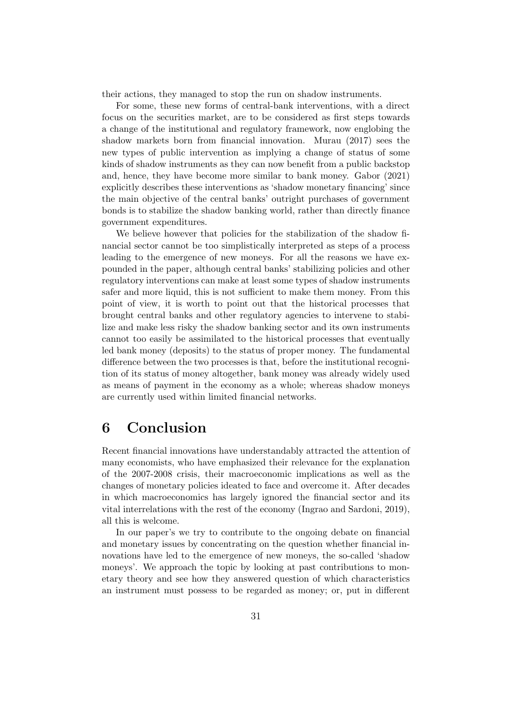their actions, they managed to stop the run on shadow instruments.

For some, these new forms of central-bank interventions, with a direct focus on the securities market, are to be considered as first steps towards a change of the institutional and regulatory framework, now englobing the shadow markets born from financial innovation. Murau (2017) sees the new types of public intervention as implying a change of status of some kinds of shadow instruments as they can now benefit from a public backstop and, hence, they have become more similar to bank money. Gabor (2021) explicitly describes these interventions as 'shadow monetary financing' since the main objective of the central banks' outright purchases of government bonds is to stabilize the shadow banking world, rather than directly finance government expenditures.

We believe however that policies for the stabilization of the shadow financial sector cannot be too simplistically interpreted as steps of a process leading to the emergence of new moneys. For all the reasons we have expounded in the paper, although central banks' stabilizing policies and other regulatory interventions can make at least some types of shadow instruments safer and more liquid, this is not sufficient to make them money. From this point of view, it is worth to point out that the historical processes that brought central banks and other regulatory agencies to intervene to stabilize and make less risky the shadow banking sector and its own instruments cannot too easily be assimilated to the historical processes that eventually led bank money (deposits) to the status of proper money. The fundamental difference between the two processes is that, before the institutional recognition of its status of money altogether, bank money was already widely used as means of payment in the economy as a whole; whereas shadow moneys are currently used within limited financial networks.

#### 6 Conclusion

Recent financial innovations have understandably attracted the attention of many economists, who have emphasized their relevance for the explanation of the 2007-2008 crisis, their macroeconomic implications as well as the changes of monetary policies ideated to face and overcome it. After decades in which macroeconomics has largely ignored the financial sector and its vital interrelations with the rest of the economy (Ingrao and Sardoni, 2019), all this is welcome.

In our paper's we try to contribute to the ongoing debate on financial and monetary issues by concentrating on the question whether financial innovations have led to the emergence of new moneys, the so-called 'shadow moneys'. We approach the topic by looking at past contributions to monetary theory and see how they answered question of which characteristics an instrument must possess to be regarded as money; or, put in different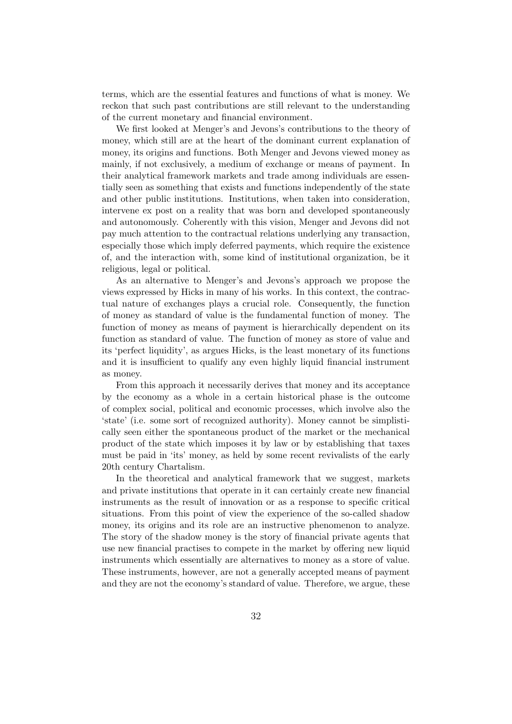terms, which are the essential features and functions of what is money. We reckon that such past contributions are still relevant to the understanding of the current monetary and financial environment.

We first looked at Menger's and Jevons's contributions to the theory of money, which still are at the heart of the dominant current explanation of money, its origins and functions. Both Menger and Jevons viewed money as mainly, if not exclusively, a medium of exchange or means of payment. In their analytical framework markets and trade among individuals are essentially seen as something that exists and functions independently of the state and other public institutions. Institutions, when taken into consideration, intervene ex post on a reality that was born and developed spontaneously and autonomously. Coherently with this vision, Menger and Jevons did not pay much attention to the contractual relations underlying any transaction, especially those which imply deferred payments, which require the existence of, and the interaction with, some kind of institutional organization, be it religious, legal or political.

As an alternative to Menger's and Jevons's approach we propose the views expressed by Hicks in many of his works. In this context, the contractual nature of exchanges plays a crucial role. Consequently, the function of money as standard of value is the fundamental function of money. The function of money as means of payment is hierarchically dependent on its function as standard of value. The function of money as store of value and its 'perfect liquidity', as argues Hicks, is the least monetary of its functions and it is insufficient to qualify any even highly liquid financial instrument as money.

From this approach it necessarily derives that money and its acceptance by the economy as a whole in a certain historical phase is the outcome of complex social, political and economic processes, which involve also the 'state' (i.e. some sort of recognized authority). Money cannot be simplistically seen either the spontaneous product of the market or the mechanical product of the state which imposes it by law or by establishing that taxes must be paid in 'its' money, as held by some recent revivalists of the early 20th century Chartalism.

In the theoretical and analytical framework that we suggest, markets and private institutions that operate in it can certainly create new financial instruments as the result of innovation or as a response to specific critical situations. From this point of view the experience of the so-called shadow money, its origins and its role are an instructive phenomenon to analyze. The story of the shadow money is the story of financial private agents that use new financial practises to compete in the market by offering new liquid instruments which essentially are alternatives to money as a store of value. These instruments, however, are not a generally accepted means of payment and they are not the economy's standard of value. Therefore, we argue, these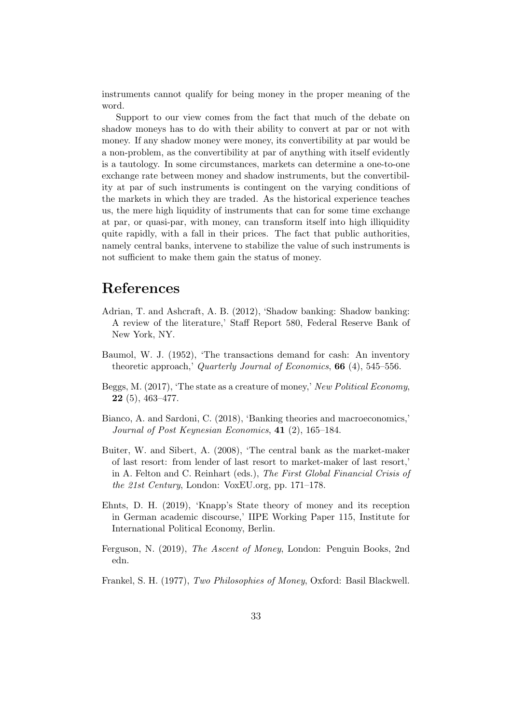instruments cannot qualify for being money in the proper meaning of the word.

Support to our view comes from the fact that much of the debate on shadow moneys has to do with their ability to convert at par or not with money. If any shadow money were money, its convertibility at par would be a non-problem, as the convertibility at par of anything with itself evidently is a tautology. In some circumstances, markets can determine a one-to-one exchange rate between money and shadow instruments, but the convertibility at par of such instruments is contingent on the varying conditions of the markets in which they are traded. As the historical experience teaches us, the mere high liquidity of instruments that can for some time exchange at par, or quasi-par, with money, can transform itself into high illiquidity quite rapidly, with a fall in their prices. The fact that public authorities, namely central banks, intervene to stabilize the value of such instruments is not sufficient to make them gain the status of money.

#### References

- Adrian, T. and Ashcraft, A. B. (2012), 'Shadow banking: Shadow banking: A review of the literature,' Staff Report 580, Federal Reserve Bank of New York, NY.
- Baumol, W. J. (1952), 'The transactions demand for cash: An inventory theoretic approach,' Quarterly Journal of Economics,  $66$  (4), 545–556.
- Beggs, M. (2017), 'The state as a creature of money,' New Political Economy, 22 (5), 463–477.
- Bianco, A. and Sardoni, C. (2018), 'Banking theories and macroeconomics,' Journal of Post Keynesian Economics, 41 (2), 165–184.
- Buiter, W. and Sibert, A. (2008), 'The central bank as the market-maker of last resort: from lender of last resort to market-maker of last resort,' in A. Felton and C. Reinhart (eds.), The First Global Financial Crisis of the 21st Century, London: VoxEU.org, pp. 171–178.
- Ehnts, D. H. (2019), 'Knapp's State theory of money and its reception in German academic discourse,' IIPE Working Paper 115, Institute for International Political Economy, Berlin.
- Ferguson, N. (2019), The Ascent of Money, London: Penguin Books, 2nd edn.
- Frankel, S. H. (1977), Two Philosophies of Money, Oxford: Basil Blackwell.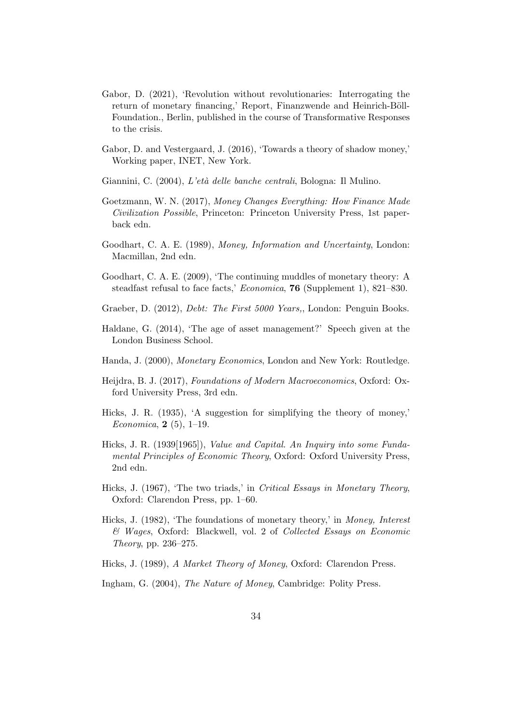- Gabor, D. (2021), 'Revolution without revolutionaries: Interrogating the return of monetary financing,' Report, Finanzwende and Heinrich-Böll-Foundation., Berlin, published in the course of Transformative Responses to the crisis.
- Gabor, D. and Vestergaard, J. (2016), 'Towards a theory of shadow money,' Working paper, INET, New York.
- Giannini, C. (2004), L'età delle banche centrali, Bologna: Il Mulino.
- Goetzmann, W. N. (2017), Money Changes Everything: How Finance Made Civilization Possible, Princeton: Princeton University Press, 1st paperback edn.
- Goodhart, C. A. E. (1989), Money, Information and Uncertainty, London: Macmillan, 2nd edn.
- Goodhart, C. A. E. (2009), 'The continuing muddles of monetary theory: A steadfast refusal to face facts,' Economica, 76 (Supplement 1), 821–830.
- Graeber, D. (2012), Debt: The First 5000 Years,, London: Penguin Books.
- Haldane, G. (2014), 'The age of asset management?' Speech given at the London Business School.
- Handa, J. (2000), Monetary Economics, London and New York: Routledge.
- Heijdra, B. J. (2017), Foundations of Modern Macroeconomics, Oxford: Oxford University Press, 3rd edn.
- Hicks, J. R. (1935), 'A suggestion for simplifying the theory of money,' *Economica*,  $2(5)$ , 1–19.
- Hicks, J. R. (1939[1965]), *Value and Capital. An Inquiry into some Funda*mental Principles of Economic Theory, Oxford: Oxford University Press, 2nd edn.
- Hicks, J. (1967), 'The two triads,' in Critical Essays in Monetary Theory, Oxford: Clarendon Press, pp. 1–60.
- Hicks, J. (1982), 'The foundations of monetary theory,' in Money, Interest & Wages, Oxford: Blackwell, vol. 2 of Collected Essays on Economic Theory, pp. 236–275.
- Hicks, J. (1989), A Market Theory of Money, Oxford: Clarendon Press.
- Ingham, G. (2004), The Nature of Money, Cambridge: Polity Press.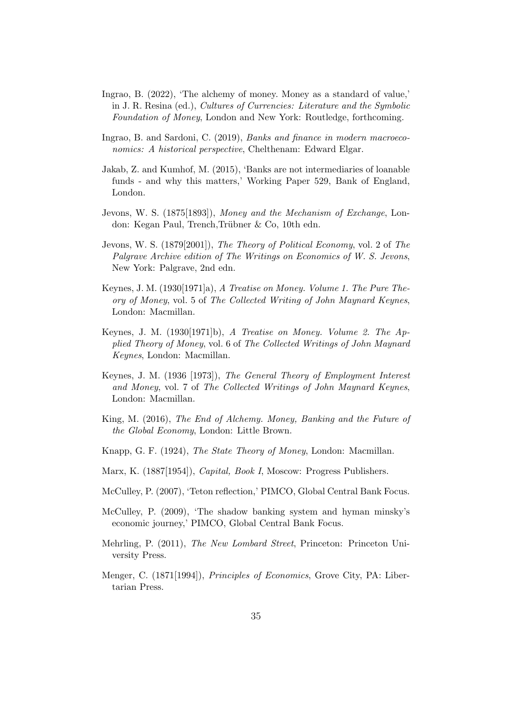- Ingrao, B. (2022), 'The alchemy of money. Money as a standard of value,' in J. R. Resina (ed.), Cultures of Currencies: Literature and the Symbolic Foundation of Money, London and New York: Routledge, forthcoming.
- Ingrao, B. and Sardoni, C. (2019), Banks and finance in modern macroeconomics: A historical perspective, Chelthenam: Edward Elgar.
- Jakab, Z. and Kumhof, M. (2015), 'Banks are not intermediaries of loanable funds - and why this matters,' Working Paper 529, Bank of England, London.
- Jevons, W. S. (1875[1893]), Money and the Mechanism of Exchange, London: Kegan Paul, Trench, Trübner & Co, 10th edn.
- Jevons, W. S. (1879[2001]), The Theory of Political Economy, vol. 2 of The Palgrave Archive edition of The Writings on Economics of W. S. Jevons, New York: Palgrave, 2nd edn.
- Keynes, J. M. (1930[1971]a), A Treatise on Money. Volume 1. The Pure Theory of Money, vol. 5 of The Collected Writing of John Maynard Keynes, London: Macmillan.
- Keynes, J. M. (1930[1971]b), A Treatise on Money. Volume 2. The Applied Theory of Money, vol. 6 of The Collected Writings of John Maynard Keynes, London: Macmillan.
- Keynes, J. M. (1936 [1973]), The General Theory of Employment Interest and Money, vol. 7 of The Collected Writings of John Maynard Keynes, London: Macmillan.
- King, M. (2016), The End of Alchemy. Money, Banking and the Future of the Global Economy, London: Little Brown.
- Knapp, G. F. (1924), The State Theory of Money, London: Macmillan.
- Marx, K. (1887[1954]), *Capital, Book I*, Moscow: Progress Publishers.
- McCulley, P. (2007), 'Teton reflection,' PIMCO, Global Central Bank Focus.
- McCulley, P. (2009), 'The shadow banking system and hyman minsky's economic journey,' PIMCO, Global Central Bank Focus.
- Mehrling, P. (2011), The New Lombard Street, Princeton: Princeton University Press.
- Menger, C. (1871[1994]), Principles of Economics, Grove City, PA: Libertarian Press.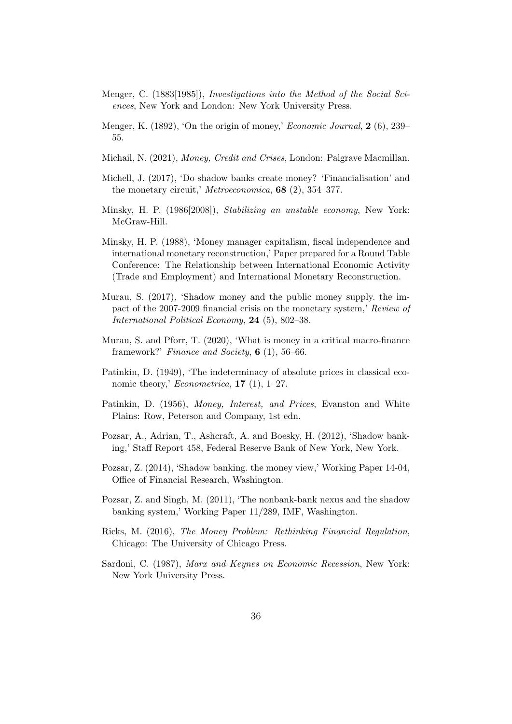- Menger, C. (1883[1985]), Investigations into the Method of the Social Sciences, New York and London: New York University Press.
- Menger, K. (1892), 'On the origin of money,' *Economic Journal*, 2 (6), 239– 55.
- Michail, N. (2021), Money, Credit and Crises, London: Palgrave Macmillan.
- Michell, J. (2017), 'Do shadow banks create money? 'Financialisation' and the monetary circuit,' Metroeconomica,  $68$  (2),  $354-377$ .
- Minsky, H. P. (1986[2008]), Stabilizing an unstable economy, New York: McGraw-Hill.
- Minsky, H. P. (1988), 'Money manager capitalism, fiscal independence and international monetary reconstruction,' Paper prepared for a Round Table Conference: The Relationship between International Economic Activity (Trade and Employment) and International Monetary Reconstruction.
- Murau, S. (2017), 'Shadow money and the public money supply. the impact of the 2007-2009 financial crisis on the monetary system,' Review of International Political Economy, 24 (5), 802–38.
- Murau, S. and Pforr, T. (2020), 'What is money in a critical macro-finance framework?' Finance and Society,  $6$  (1), 56–66.
- Patinkin, D. (1949), 'The indeterminacy of absolute prices in classical economic theory,' *Econometrica*, **17** (1), 1–27.
- Patinkin, D. (1956), Money, Interest, and Prices, Evanston and White Plains: Row, Peterson and Company, 1st edn.
- Pozsar, A., Adrian, T., Ashcraft, A. and Boesky, H. (2012), 'Shadow banking,' Staff Report 458, Federal Reserve Bank of New York, New York.
- Pozsar, Z. (2014), 'Shadow banking. the money view,' Working Paper 14-04, Office of Financial Research, Washington.
- Pozsar, Z. and Singh, M. (2011), 'The nonbank-bank nexus and the shadow banking system,' Working Paper 11/289, IMF, Washington.
- Ricks, M. (2016), The Money Problem: Rethinking Financial Regulation, Chicago: The University of Chicago Press.
- Sardoni, C. (1987), Marx and Keynes on Economic Recession, New York: New York University Press.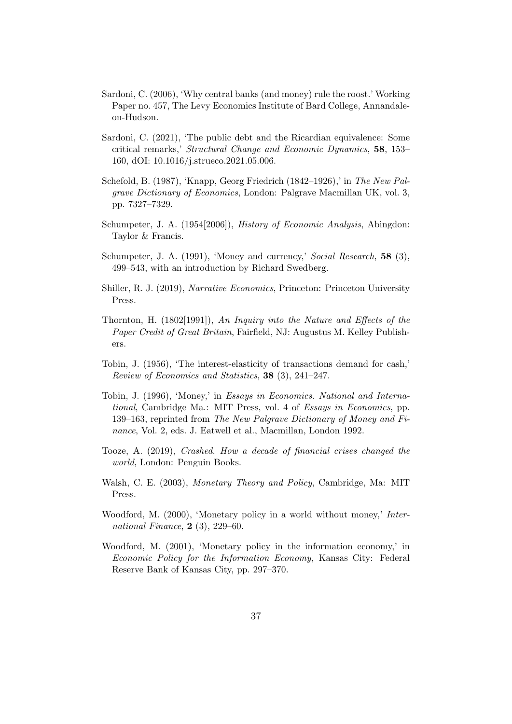- Sardoni, C. (2006), 'Why central banks (and money) rule the roost.' Working Paper no. 457, The Levy Economics Institute of Bard College, Annandaleon-Hudson.
- Sardoni, C. (2021), 'The public debt and the Ricardian equivalence: Some critical remarks,' Structural Change and Economic Dynamics, 58, 153– 160, dOI: 10.1016/j.strueco.2021.05.006.
- Schefold, B. (1987), 'Knapp, Georg Friedrich (1842–1926),' in The New Palgrave Dictionary of Economics, London: Palgrave Macmillan UK, vol. 3, pp. 7327–7329.
- Schumpeter, J. A. (1954[2006]), History of Economic Analysis, Abingdon: Taylor & Francis.
- Schumpeter, J. A. (1991), 'Money and currency,' Social Research, **58** (3), 499–543, with an introduction by Richard Swedberg.
- Shiller, R. J. (2019), Narrative Economics, Princeton: Princeton University Press.
- Thornton, H. (1802[1991]), An Inquiry into the Nature and Effects of the Paper Credit of Great Britain, Fairfield, NJ: Augustus M. Kelley Publishers.
- Tobin, J. (1956), 'The interest-elasticity of transactions demand for cash,' Review of Economics and Statistics, 38 (3), 241–247.
- Tobin, J. (1996), 'Money,' in Essays in Economics. National and International, Cambridge Ma.: MIT Press, vol. 4 of Essays in Economics, pp. 139–163, reprinted from The New Palgrave Dictionary of Money and Finance, Vol. 2, eds. J. Eatwell et al., Macmillan, London 1992.
- Tooze, A. (2019), Crashed. How a decade of financial crises changed the world, London: Penguin Books.
- Walsh, C. E. (2003), Monetary Theory and Policy, Cambridge, Ma: MIT Press.
- Woodford, M. (2000), 'Monetary policy in a world without money,' International Finance,  $2(3)$ ,  $229-60$ .
- Woodford, M. (2001), 'Monetary policy in the information economy,' in Economic Policy for the Information Economy, Kansas City: Federal Reserve Bank of Kansas City, pp. 297–370.